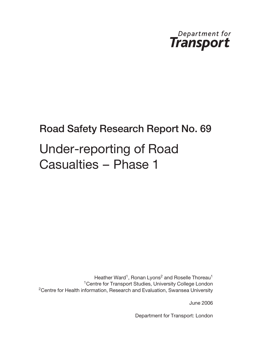

# Road Safety Research Report No. 69 Under-reporting of Road Casualties – Phase 1

Heather Ward<sup>1</sup>, Ronan Lyons<sup>2</sup> and Roselle Thoreau<sup>1</sup> <sup>1</sup> Centre for Transport Studies, University College London <sup>2</sup>Centre for Health information, Research and Evaluation, Swansea University

June 2006

Department for Transport: London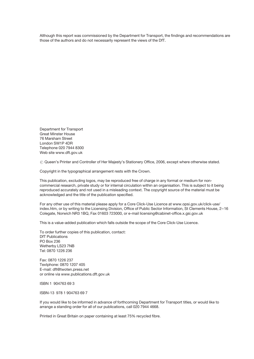Although this report was commissioned by the Department for Transport, the findings and recommendations are those of the authors and do not necessarily represent the views of the DfT.

Department for Transport Great Minster House 76 Marsham Street London SW1P 4DR Telephone 020 7944 8300 Web site www.dft.gov.uk

 $\odot$  Queen's Printer and Controller of Her Majesty's Stationery Office, 2006, except where otherwise stated.

Copyright in the typographical arrangement rests with the Crown.

This publication, excluding logos, may be reproduced free of charge in any format or medium for noncommercial research, private study or for internal circulation within an organisation. This is subject to it being reproduced accurately and not used in a misleading context. The copyright source of the material must be acknowledged and the title of the publication specified.

For any other use of this material please apply for a Core Click-Use Licence at www.opsi.gov.uk/click-use/ index.htm, or by writing to the Licensing Division, Office of Public Sector Information, St Clements House, 2–16 Colegate, Norwich NR3 1BQ, Fax 01603 723000, or e-mail licensing@cabinet-office.x.gsi.gov.uk

This is a value-added publication which falls outside the scope of the Core Click-Use Licence.

To order further copies of this publication, contact: DfT Publications PO Box 236 Wetherby LS23 7NB Tel: 0870 1226 236

Fax: 0870 1226 237 Textphone: 0870 1207 405 E-mail: dft@twoten.press.net or online via www.publications.dft.gov.uk

ISBN 1 904763 69 3

ISBN-13 978 1 904763 69 7

If you would like to be informed in advance of forthcoming Department for Transport titles, or would like to arrange a standing order for all of our publications, call 020 7944 4668.

Printed in Great Britain on paper containing at least 75% recycled fibre.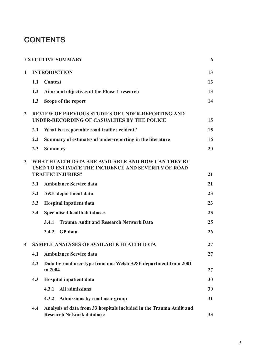# **CONTENTS**

|                         |     | <b>EXECUTIVE SUMMARY</b>                                                                                                                     | 6  |
|-------------------------|-----|----------------------------------------------------------------------------------------------------------------------------------------------|----|
| $\mathbf{1}$            |     | <b>INTRODUCTION</b>                                                                                                                          | 13 |
|                         | 1.1 | <b>Context</b>                                                                                                                               | 13 |
|                         | 1.2 | Aims and objectives of the Phase 1 research                                                                                                  | 13 |
|                         | 1.3 | Scope of the report                                                                                                                          | 14 |
| $\overline{2}$          |     | <b>REVIEW OF PREVIOUS STUDIES OF UNDER-REPORTING AND</b><br>UNDER-RECORDING OF CASUALTIES BY THE POLICE                                      | 15 |
|                         | 2.1 | What is a reportable road traffic accident?                                                                                                  | 15 |
|                         | 2.2 | Summary of estimates of under-reporting in the literature                                                                                    | 16 |
|                         | 2.3 | <b>Summary</b>                                                                                                                               | 20 |
| $\overline{3}$          |     | WHAT HEALTH DATA ARE AVAILABLE AND HOW CAN THEY BE<br><b>USED TO ESTIMATE THE INCIDENCE AND SEVERITY OF ROAD</b><br><b>TRAFFIC INJURIES?</b> | 21 |
|                         | 3.1 | <b>Ambulance Service data</b>                                                                                                                | 21 |
|                         | 3.2 | <b>A&amp;E</b> department data                                                                                                               | 23 |
|                         | 3.3 | <b>Hospital inpatient data</b>                                                                                                               | 23 |
|                         | 3.4 | <b>Specialised health databases</b>                                                                                                          | 25 |
|                         |     | <b>Trauma Audit and Research Network Data</b><br>3.4.1                                                                                       | 25 |
|                         |     | <b>GP</b> data<br>3.4.2                                                                                                                      | 26 |
| $\overline{\mathbf{4}}$ |     | SAMPLE ANALYSES OF AVAILABLE HEALTH DATA                                                                                                     | 27 |
|                         | 4.1 | <b>Ambulance Service data</b>                                                                                                                | 27 |
|                         | 4.2 | Data by road user type from one Welsh A&E department from 2001<br>to 2004                                                                    | 27 |
|                         | 4.3 | <b>Hospital inpatient data</b>                                                                                                               | 30 |
|                         |     | <b>All admissions</b><br>4.3.1                                                                                                               | 30 |
|                         |     | 4.3.2<br>Admissions by road user group                                                                                                       | 31 |
|                         | 4.4 | Analysis of data from 33 hospitals included in the Trauma Audit and<br><b>Research Network database</b>                                      | 33 |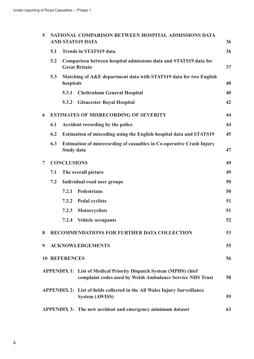| 5              | NATIONAL COMPARISON BETWEEN HOSPITAL ADMISSIONS DATA<br><b>AND STATS19 DATA</b> |                      |                                                                                                                                       |    |  |
|----------------|---------------------------------------------------------------------------------|----------------------|---------------------------------------------------------------------------------------------------------------------------------------|----|--|
|                | 5.1                                                                             |                      | <b>Trends in STATS19 data</b>                                                                                                         | 36 |  |
|                | 5.2                                                                             |                      | Comparison between hospital admissions data and STATS19 data for<br><b>Great Britain</b>                                              | 37 |  |
|                | 5.3                                                                             | hospitals            | Matching of A&E department data with STATS19 data for two English                                                                     | 40 |  |
|                |                                                                                 | 5.3.1                | <b>Cheltenham General Hospital</b>                                                                                                    | 40 |  |
|                |                                                                                 | 5.3.2                | <b>Gloucester Royal Hospital</b>                                                                                                      | 42 |  |
| 6              |                                                                                 |                      | <b>ESTIMATES OF MISRECORDING OF SEVERITY</b>                                                                                          | 44 |  |
|                | 6.1                                                                             |                      | Accident recording by the police                                                                                                      | 44 |  |
|                | 6.2                                                                             |                      | Estimation of miscoding using the English hospital data and STATS19                                                                   | 45 |  |
|                | 6.3                                                                             | <b>Study data</b>    | Estimation of misrecording of casualties in Co-operative Crash Injury                                                                 | 47 |  |
| $\overline{7}$ |                                                                                 | <b>CONCLUSIONS</b>   |                                                                                                                                       | 49 |  |
|                | 7.1                                                                             |                      | The overall picture                                                                                                                   | 49 |  |
|                | 7.2                                                                             |                      | <b>Individual road user groups</b>                                                                                                    | 50 |  |
|                |                                                                                 | 7.2.1                | Pedestrians                                                                                                                           | 50 |  |
|                |                                                                                 | 7.2.2                | <b>Pedal cyclists</b>                                                                                                                 | 51 |  |
|                |                                                                                 | 7.2.3                | <b>Motorcyclists</b>                                                                                                                  | 51 |  |
|                |                                                                                 | 7.2.4                | Vehicle occupants                                                                                                                     | 52 |  |
| 8              |                                                                                 |                      | <b>RECOMMENDATIONS FOR FURTHER DATA COLLECTION</b>                                                                                    | 53 |  |
| 9              |                                                                                 |                      | <b>ACKNOWLEDGEMENTS</b>                                                                                                               | 55 |  |
|                |                                                                                 | <b>10 REFERENCES</b> |                                                                                                                                       | 56 |  |
|                |                                                                                 |                      | <b>APPENDIX 1: List of Medical Priority Dispatch System (MPDS) chief</b><br>complaint codes used by Welsh Ambulance Service NHS Trust | 58 |  |
|                |                                                                                 |                      | <b>APPENDIX 2:</b> List of fields collected in the All Wales Injury Surveillance<br><b>System (AWISS)</b>                             | 59 |  |
|                |                                                                                 |                      | APPENDIX 3: The new accident and emergency minimum dataset                                                                            | 63 |  |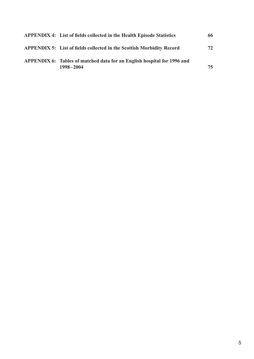| <b>APPENDIX 4: List of fields collected in the Health Episode Statistics</b>         | 66 |
|--------------------------------------------------------------------------------------|----|
| <b>APPENDIX 5:</b> List of fields collected in the Scottish Morbidity Record         | 72 |
| APPENDIX 6: Tables of matched data for an English hospital for 1996 and<br>1998-2004 | 75 |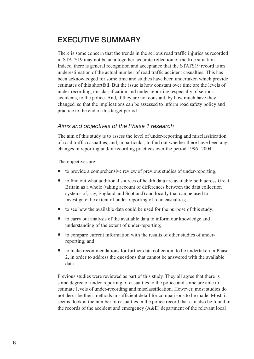## EXECUTIVE SUMMARY

There is some concern that the trends in the serious road traffic injuries as recorded in STATS19 may not be an altogether accurate reflection of the true situation. Indeed, there is general recognition and acceptance that the STATS19 record is an underestimation of the actual number of road traffic accident casualties. This has been acknowledged for some time and studies have been undertaken which provide estimates of this shortfall. But the issue is how constant over time are the levels of under-recording, misclassification and under-reporting, especially of serious accidents, to the police. And, if they are not constant, by how much have they changed, so that the implications can be assessed to inform road safety policy and practice to the end of this target period.

#### Aims and objectives of the Phase 1 research

The aim of this study is to assess the level of under-reporting and misclassification of road traffic casualties, and, in particular, to find out whether there have been any changes in reporting and/or recording practices over the period 1996–2004.

The objectives are:

- to provide a comprehensive review of previous studies of under-reporting;
- to find out what additional sources of health data are available both across Great Britain as a whole (taking account of differences between the data collection systems of, say, England and Scotland) and locally that can be used to investigate the extent of under-reporting of road casualties;
- to see how the available data could be used for the purpose of this study;
- to carry out analysis of the available data to inform our knowledge and understanding of the extent of under-reporting;
- to compare current information with the results of other studies of underreporting; and
- to make recommendations for further data collection, to be undertaken in Phase 2, in order to address the questions that cannot be answered with the available data.

Previous studies were reviewed as part of this study. They all agree that there is some degree of under-reporting of casualties to the police and some are able to estimate levels of under-recording and misclassification. However, most studies do not describe their methods in sufficient detail for comparisons to be made. Most, it seems, look at the number of casualties in the police record that can also be found in the records of the accident and emergency (A&E) department of the relevant local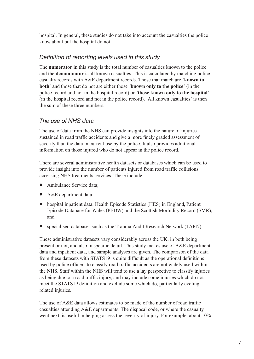hospital. In general, these studies do not take into account the casualties the police know about but the hospital do not.

#### Definition of reporting levels used in this study

The numerator in this study is the total number of casualties known to the police and the denominator is all known casualties. This is calculated by matching police casualty records with A&E department records. Those that match are 'known to both' and those that do not are either those 'known only to the police' (in the police record and not in the hospital record) or 'those known only to the hospital' (in the hospital record and not in the police record). 'All known casualties' is then the sum of these three numbers.

#### The use of NHS data

The use of data from the NHS can provide insights into the nature of injuries sustained in road traffic accidents and give a more finely graded assessment of severity than the data in current use by the police. It also provides additional information on those injured who do not appear in the police record.

There are several administrative health datasets or databases which can be used to provide insight into the number of patients injured from road traffic collisions accessing NHS treatments services. These include:

- Ambulance Service data;
- A&E department data;
- hospital inpatient data, Health Episode Statistics (HES) in England, Patient Episode Database for Wales (PEDW) and the Scottish Morbidity Record (SMR); and
- specialised databases such as the Trauma Audit Research Network (TARN).

These administrative datasets vary considerably across the UK, in both being present or not, and also in specific detail. This study makes use of A&E department data and inpatient data, and sample analyses are given. The comparison of the data from these datasets with STATS19 is quite difficult as the operational definitions used by police officers to classify road traffic accidents are not widely used within the NHS. Staff within the NHS will tend to use a lay perspective to classify injuries as being due to a road traffic injury, and may include some injuries which do not meet the STATS19 definition and exclude some which do, particularly cycling related injuries.

The use of A&E data allows estimates to be made of the number of road traffic casualties attending A&E departments. The disposal code, or where the casualty went next, is useful in helping assess the severity of injury. For example, about 10%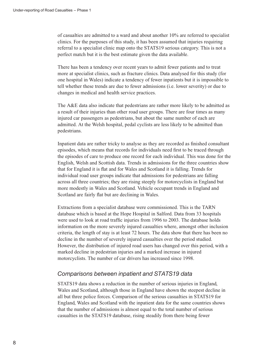of casualties are admitted to a ward and about another 10% are referred to specialist clinics. For the purposes of this study, it has been assumed that injuries requiring referral to a specialist clinic map onto the STATS19 serious category. This is not a perfect match but it is the best estimate given the data available.

There has been a tendency over recent years to admit fewer patients and to treat more at specialist clinics, such as fracture clinics. Data analysed for this study (for one hospital in Wales) indicate a tendency of fewer inpatients but it is impossible to tell whether these trends are due to fewer admissions (i.e. lower severity) or due to changes in medical and health service practices.

The A&E data also indicate that pedestrians are rather more likely to be admitted as a result of their injuries than other road user groups. There are four times as many injured car passengers as pedestrians, but about the same number of each are admitted. At the Welsh hospital, pedal cyclists are less likely to be admitted than pedestrians.

Inpatient data are rather tricky to analyse as they are recorded as finished consultant episodes, which means that records for individuals need first to be traced through the episodes of care to produce one record for each individual. This was done for the English, Welsh and Scottish data. Trends in admissions for the three countries show that for England it is flat and for Wales and Scotland it is falling. Trends for individual road user groups indicate that admissions for pedestrians are falling across all three countries; they are rising steeply for motorcyclists in England but more modestly in Wales and Scotland. Vehicle occupant trends in England and Scotland are fairly flat but are declining in Wales.

Extractions from a specialist database were commissioned. This is the TARN database which is based at the Hope Hospital in Salford. Data from 33 hospitals were used to look at road traffic injuries from 1996 to 2003. The database holds information on the more severely injured casualties where, amongst other inclusion criteria, the length of stay is at least 72 hours. The data show that there has been no decline in the number of severely injured casualties over the period studied. However, the distribution of injured road users has changed over this period, with a marked decline in pedestrian injuries and a marked increase in injured motorcyclists. The number of car drivers has increased since 1998.

#### Comparisons between inpatient and STATS19 data

STATS19 data shows a reduction in the number of serious injuries in England, Wales and Scotland, although those in England have shown the steepest decline in all but three police forces. Comparison of the serious casualties in STATS19 for England, Wales and Scotland with the inpatient data for the same countries shows that the number of admissions is almost equal to the total number of serious casualties in the STATS19 database, rising steadily from there being fewer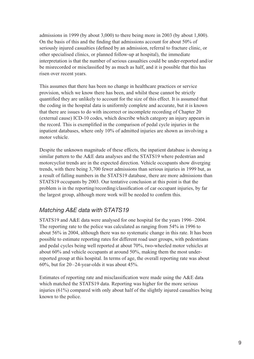admissions in 1999 (by about 3,000) to there being more in 2003 (by about 1,800). On the basis of this and the finding that admissions account for about 50% of seriously injured casualties (defined by an admission, referral to fracture clinic, or other specialised clinics, or planned follow-up at hospital), the immediate interpretation is that the number of serious casualties could be under-reported and/or be misrecorded or misclassified by as much as half, and it is possible that this has risen over recent years.

This assumes that there has been no change in healthcare practices or service provision, which we know there has been, and whilst these cannot be strictly quantified they are unlikely to account for the size of this effect. It is assumed that the coding in the hospital data is uniformly complete and accurate, but it is known that there are issues to do with incorrect or incomplete recording of Chapter 20 (external cause) ICD-10 codes, which describe which category an injury appears in the record. This is exemplified in the comparison of pedal cycle injuries in the inpatient databases, where only 10% of admitted injuries are shown as involving a motor vehicle.

Despite the unknown magnitude of these effects, the inpatient database is showing a similar pattern to the A&E data analyses and the STATS19 where pedestrian and motorcyclist trends are in the expected direction. Vehicle occupants show diverging trends, with there being 3,700 fewer admissions than serious injuries in 1999 but, as a result of falling numbers in the STATS19 database, there are more admissions than STATS19 occupants by 2003. Our tentative conclusion at this point is that the problem is in the reporting/recording/classification of car occupant injuries, by far the largest group, although more work will be needed to confirm this.

#### Matching A&E data with STATS19

STATS19 and A&E data were analysed for one hospital for the years 1996–2004. The reporting rate to the police was calculated as ranging from 54% in 1996 to about 56% in 2004, although there was no systematic change in this rate. It has been possible to estimate reporting rates for different road user groups, with pedestrians and pedal cycles being well reported at about 70%, two-wheeled motor vehicles at about 60% and vehicle occupants at around 50%, making them the most underreported group at this hospital. In terms of age, the overall reporting rate was about 60%, but for 20–24-year-olds it was about 45%.

Estimates of reporting rate and misclassification were made using the A&E data which matched the STATS19 data. Reporting was higher for the more serious injuries (61%) compared with only about half of the slightly injured casualties being known to the police.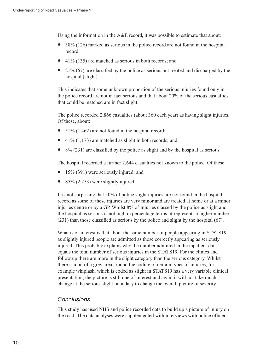Using the information in the  $A\&E$  record, it was possible to estimate that about:

- 38% (126) marked as serious in the police record are not found in the hospital record;
- 41% (135) are matched as serious in both records; and
- $\bullet$  21% (67) are classified by the police as serious but treated and discharged by the hospital (slight).

This indicates that some unknown proportion of the serious injuries found only in the police record are not in fact serious and that about 20% of the serious casualties that could be matched are in fact slight.

The police recorded 2,866 casualties (about 360 each year) as having slight injuries. Of these, about:

- 51% (1,462) are not found in the hospital record;
- $41\%$  (1,173) are matched as slight in both records; and
- 8% (231) are classified by the police as slight and by the hospital as serious.

The hospital recorded a further 2,644 casualties not known to the police. Of these:

- 15% (391) were seriously injured; and
- 85% (2,253) were slightly injured.

It is not surprising that 50% of police slight injuries are not found in the hospital record as some of these injuries are very minor and are treated at home or at a minor injuries centre or by a GP. Whilst 8% of injuries classed by the police as slight and the hospital as serious is not high in percentage terms, it represents a higher number (231) than those classified as serious by the police and slight by the hospital (67).

What is of interest is that about the same number of people appearing in STATS19 as slightly injured people are admitted as those correctly appearing as seriously injured. This probably explains why the number admitted in the inpatient data equals the total number of serious injuries in the STATS19. For the clinics and follow up there are more in the slight category than the serious category. Whilst there is a bit of a grey area around the coding of certain types of injuries, for example whiplash, which is coded as slight in STATS19 has a very variable clinical presentation, the picture is still one of interest and again it will not take much change at the serious slight boundary to change the overall picture of severity.

#### **Conclusions**

This study has used NHS and police recorded data to build up a picture of injury on the road. The data analyses were supplemented with interviews with police officers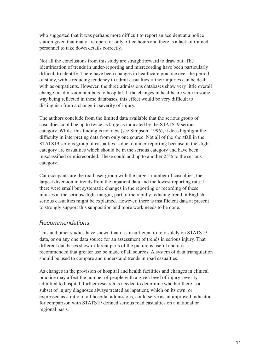who suggested that it was perhaps more difficult to report an accident at a police station given that many are open for only office hours and there is a lack of trained personnel to take down details correctly.

Not all the conclusions from this study are straightforward to draw out. The identification of trends in under-reporting and misrecording have been particularly difficult to identify. There have been changes in healthcare practice over the period of study, with a reducing tendency to admit casualties if their injuries can be dealt with as outpatients. However, the three admissions databases show very little overall change in admission numbers to hospital. If the changes in healthcare were in some way being reflected in these databases, this effect would be very difficult to distinguish from a change in severity of injury.

The authors conclude from the limited data available that the serious group of casualties could be up to twice as large as indicated by the STATS19 serious category. Whilst this finding is not new (see Simpson, 1996), it does highlight the difficulty in interpreting data from only one source. Not all of the shortfall in the STATS19 serious group of casualties is due to under-reporting because in the slight category are casualties which should be in the serious category and have been misclassified or misrecorded. These could add up to another 25% to the serious category.

Car occupants are the road user group with the largest number of casualties, the largest diversion in trends from the inpatient data and the lowest reporting rate. If there were small but systematic changes in the reporting or recording of these injuries at the serious/slight margin, part of the rapidly reducing trend in English serious casualties might be explained. However, there is insufficient data at present to strongly support this supposition and more work needs to be done.

#### Recommendations

This and other studies have shown that it is insufficient to rely solely on STATS19 data, or on any one data source for an assessment of trends in serious injury. That different databases show different parts of the picture is useful and it is recommended that greater use be made of all sources. A system of data triangulation should be used to compare and understand trends in road casualties.

As changes in the provision of hospital and health facilities and changes in clinical practice may affect the number of people with a given level of injury severity admitted to hospital, further research is needed to determine whether there is a subset of injury diagnoses always treated as inpatient, which on its own, or expressed as a ratio of all hospital admissions, could serve as an improved indicator for comparison with STATS19 defined serious road casualties on a national or regional basis.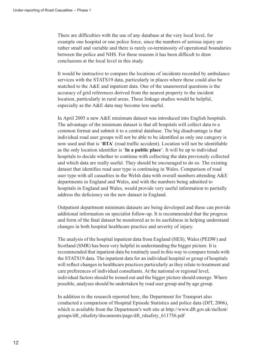There are difficulties with the use of any database at the very local level, for example one hospital or one police force, since the numbers of serious injury are rather small and variable and there is rarely co-terminosity of operational boundaries between the police and NHS. For these reasons it has been difficult to draw conclusions at the local level in this study.

It would be instructive to compare the locations of incidents recorded by ambulance services with the STATS19 data, particularly in places where these could also be matched to the A&E and inpatient data. One of the unanswered questions is the accuracy of grid references derived from the nearest property to the incident location, particularly in rural areas. These linkage studies would be helpful, especially as the A&E data may become less useful.

In April 2005 a new A&E minimum dataset was introduced into English hospitals. The advantage of the minimum dataset is that all hospitals will collect data to a common format and submit it to a central database. The big disadvantage is that individual road user groups will not be able to be identified as only one category is now used and that is 'RTA' (road traffic accident). Location will not be identifiable as the only location identifier is 'In a public place'. It will be up to individual hospitals to decide whether to continue with collecting the data previously collected and which data are really useful. They should be encouraged to do so. The existing dataset that identifies road user type is continuing in Wales. Comparison of road user type with all casualties in the Welsh data with overall numbers attending A&E departments in England and Wales, and with the numbers being admitted to hospitals in England and Wales, would provide very useful information to partially address the deficiency on the new dataset in England.

Outpatient department minimum datasets are being developed and these can provide additional information on specialist follow-up. It is recommended that the progress and form of the final dataset be monitored as to its usefulness in helping understand changes in both hospital healthcare practice and severity of injury.

The analysis of the hospital inpatient data from England (HES), Wales (PEDW) and Scotland (SMR) has been very helpful in understanding the bigger picture. It is recommended that inpatient data be routinely used in this way to compare trends with the STATS19 data. The inpatient data for an individual hospital or group of hospitals will reflect changes in healthcare practices particularly as they relate to treatment and care preferences of individual consultants. At the national or regional level, individual factors should be ironed out and the bigger picture should emerge. Where possible, analyses should be undertaken by road user group and by age group.

In addition to the research reported here, the Department for Transport also conducted a comparison of Hospital Episode Statistics and police data (DfT, 2006), which is available from the Department's web site at http://www.dft.gov.uk/stellent/ groups/dft\_rdsafety/documents/page/dft\_rdsafety\_611756.pdf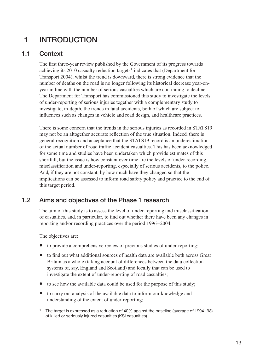# 1 INTRODUCTION

#### 1.1 Context

The first three-year review published by the Government of its progress towards achieving its  $2010$  casualty reduction targets<sup>1</sup> indicates that (Department for Transport 2004), whilst the trend is downward, there is strong evidence that the number of deaths on the road is no longer following its historical decrease year-onyear in line with the number of serious casualties which are continuing to decline. The Department for Transport has commissioned this study to investigate the levels of under-reporting of serious injuries together with a complementary study to investigate, in-depth, the trends in fatal accidents, both of which are subject to influences such as changes in vehicle and road design, and healthcare practices.

There is some concern that the trends in the serious injuries as recorded in STATS19 may not be an altogether accurate reflection of the true situation. Indeed, there is general recognition and acceptance that the STATS19 record is an underestimation of the actual number of road traffic accident casualties. This has been acknowledged for some time and studies have been undertaken which provide estimates of this shortfall, but the issue is how constant over time are the levels of under-recording, misclassification and under-reporting, especially of serious accidents, to the police. And, if they are not constant, by how much have they changed so that the implications can be assessed to inform road safety policy and practice to the end of this target period.

### 1.2 Aims and objectives of the Phase 1 research

The aim of this study is to assess the level of under-reporting and misclassification of casualties, and, in particular, to find out whether there have been any changes in reporting and/or recording practices over the period 1996–2004.

The objectives are:

- to provide a comprehensive review of previous studies of under-reporting;
- to find out what additional sources of health data are available both across Great Britain as a whole (taking account of differences between the data collection systems of, say, England and Scotland) and locally that can be used to investigate the extent of under-reporting of road casualties;
- to see how the available data could be used for the purpose of this study;
- to carry out analysis of the available data to inform our knowledge and understanding of the extent of under-reporting;
- <sup>1</sup> The target is expressed as a reduction of 40% against the baseline (average of 1994–98) of killed or seriously injured casualties (KSI casualties).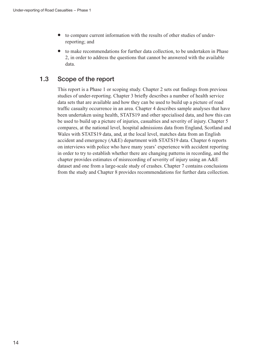- to compare current information with the results of other studies of underreporting; and
- to make recommendations for further data collection, to be undertaken in Phase 2, in order to address the questions that cannot be answered with the available data.

### 1.3 Scope of the report

This report is a Phase 1 or scoping study. Chapter 2 sets out findings from previous studies of under-reporting. Chapter 3 briefly describes a number of health service data sets that are available and how they can be used to build up a picture of road traffic casualty occurrence in an area. Chapter 4 describes sample analyses that have been undertaken using health, STATS19 and other specialised data, and how this can be used to build up a picture of injuries, casualties and severity of injury. Chapter 5 compares, at the national level, hospital admissions data from England, Scotland and Wales with STATS19 data, and, at the local level, matches data from an English accident and emergency (A&E) department with STATS19 data. Chapter 6 reports on interviews with police who have many years' experience with accident reporting in order to try to establish whether there are changing patterns in recording, and the chapter provides estimates of misrecording of severity of injury using an A&E dataset and one from a large-scale study of crashes. Chapter 7 contains conclusions from the study and Chapter 8 provides recommendations for further data collection.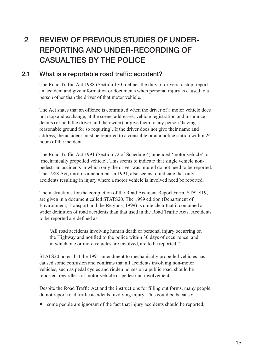# 2 REVIEW OF PREVIOUS STUDIES OF UNDER-REPORTING AND UNDER-RECORDING OF CASUALTIES BY THE POLICE

#### 2.1 What is a reportable road traffic accident?

The Road Traffic Act 1988 (Section 170) defines the duty of drivers to stop, report an accident and give information or documents when personal injury is caused to a person other than the driver of that motor vehicle.

The Act states that an offence is committed when the driver of a motor vehicle does not stop and exchange, at the scene, addresses, vehicle registration and insurance details (of both the driver and the owner) or give them to any person 'having reasonable ground for so requiring'. If the driver does not give their name and address, the accident must be reported to a constable or at a police station within 24 hours of the incident.

The Road Traffic Act 1991 (Section 72 of Schedule 4) amended 'motor vehicle' to 'mechanically propelled vehicle'. This seems to indicate that single vehicle nonpedestrian accidents in which only the driver was injured do not need to be reported. The 1988 Act, until its amendment in 1991, also seems to indicate that only accidents resulting in injury where a motor vehicle is involved need be reported.

The instructions for the completion of the Road Accident Report Form, STATS19, are given in a document called STATS20. The 1999 edition (Department of Environment, Transport and the Regions, 1999) is quite clear that it contained a wider definition of road accidents than that used in the Road Traffic Acts. Accidents to be reported are defined as:

'All road accidents involving human death or personal injury occurring on the Highway and notified to the police within 30 days of occurrence, and in which one or more vehicles are involved, are to be reported.''

STATS20 notes that the 1991 amendment to mechanically propelled vehicles has caused some confusion and confirms that all accidents involving non-motor vehicles, such as pedal cycles and ridden horses on a public road, should be reported, regardless of motor vehicle or pedestrian involvement.

Despite the Road Traffic Act and the instructions for filling out forms, many people do not report road traffic accidents involving injury. This could be because:

• some people are ignorant of the fact that injury accidents should be reported;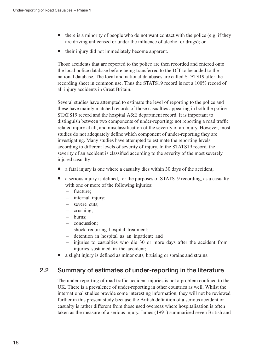- $\bullet$  there is a minority of people who do not want contact with the police (e.g. if they are driving unlicensed or under the influence of alcohol or drugs); or
- their injury did not immediately become apparent.

Those accidents that are reported to the police are then recorded and entered onto the local police database before being transferred to the DfT to be added to the national database. The local and national databases are called STATS19 after the recording sheet in common use. Thus the STATS19 record is not a 100% record of all injury accidents in Great Britain.

Several studies have attempted to estimate the level of reporting to the police and these have mainly matched records of those casualties appearing in both the police STATS19 record and the hospital A&E department record. It is important to distinguish between two components of under-reporting: not reporting a road traffic related injury at all, and misclassification of the severity of an injury. However, most studies do not adequately define which component of under-reporting they are investigating. Many studies have attempted to estimate the reporting levels according to different levels of severity of injury. In the STATS19 record, the severity of an accident is classified according to the severity of the most severely injured casualty:

- a fatal injury is one where a casualty dies within 30 days of the accident;
- a serious injury is defined, for the purposes of STATS19 recording, as a casualty with one or more of the following injuries:
	- fracture;
	- internal injury;
	- severe cuts;
	- crushing;
	- burns;
	- concussion;
	- shock requiring hospital treatment;
	- detention in hospital as an inpatient; and
	- injuries to casualties who die 30 or more days after the accident from injuries sustained in the accident;
- a slight injury is defined as minor cuts, bruising or sprains and strains.

### 2.2 Summary of estimates of under-reporting in the literature

The under-reporting of road traffic accident injuries is not a problem confined to the UK. There is a prevalence of under-reporting in other countries as well. Whilst the international studies provide some interesting information, they will not be reviewed further in this present study because the British definition of a serious accident or casualty is rather different from those used overseas where hospitalisation is often taken as the measure of a serious injury. James (1991) summarised seven British and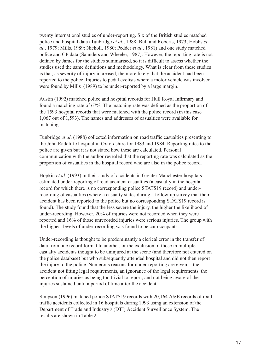twenty international studies of under-reporting. Six of the British studies matched police and hospital data (Tunbridge et al., 1988; Bull and Roberts, 1973; Hobbs et al., 1979; Mills, 1989; Nicholl, 1980; Pedder et al., 1981) and one study matched police and GP data (Saunders and Wheeler, 1987). However, the reporting rate is not defined by James for the studies summarised, so it is difficult to assess whether the studies used the same definitions and methodology. What is clear from these studies is that, as severity of injury increased, the more likely that the accident had been reported to the police. Injuries to pedal cyclists where a motor vehicle was involved were found by Mills (1989) to be under-reported by a large margin.

Austin (1992) matched police and hospital records for Hull Royal Infirmary and found a matching rate of 67%. The matching rate was defined as the proportion of the 1593 hospital records that were matched with the police record (in this case 1,067 out of 1,593). The names and addresses of casualties were available for matching.

Tunbridge et al. (1988) collected information on road traffic casualties presenting to the John Radcliffe hospital in Oxfordshire for 1983 and 1984. Reporting rates to the police are given but it is not stated how these are calculated. Personal communication with the author revealed that the reporting rate was calculated as the proportion of casualties in the hospital record who are also in the police record.

Hopkin et al. (1993) in their study of accidents in Greater Manchester hospitals estimated under-reporting of road accident casualties (a casualty in the hospital record for which there is no corresponding police STATS19 record) and underrecording of casualties (where a casualty states during a follow-up survey that their accident has been reported to the police but no corresponding STATS19 record is found). The study found that the less severe the injury, the higher the likelihood of under-recording. However, 20% of injuries were not recorded when they were reported and 16% of those unrecorded injuries were serious injuries. The group with the highest levels of under-recording was found to be car occupants.

Under-recording is thought to be predominantly a clerical error in the transfer of data from one record format to another, or the exclusion of those in multiple casualty accidents thought to be uninjured at the scene (and therefore not entered on the police database) but who subsequently attended hospital and did not then report the injury to the police. Numerous reasons for under-reporting are given – the accident not fitting legal requirements, an ignorance of the legal requirements, the perception of injuries as being too trivial to report, and not being aware of the injuries sustained until a period of time after the accident.

Simpson (1996) matched police STATS19 records with 20,164 A&E records of road traffic accidents collected in 16 hospitals during 1993 using an extension of the Department of Trade and Industry's (DTI) Accident Surveillance System. The results are shown in Table 2.1.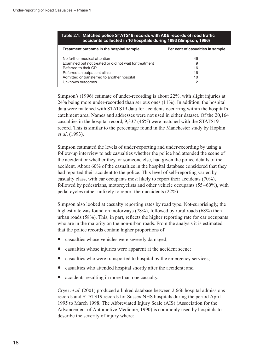| Table 2.1:Matched police STATS19 records with A&E records of road traffic |
|---------------------------------------------------------------------------|
| accidents collected in 16 hospitals during 1993 (Simpson, 1996)           |

| Treatment outcome in the hospital sample               | Per cent of casualties in sample |
|--------------------------------------------------------|----------------------------------|
| No further medical attention                           | 46                               |
| Examined but not treated or did not wait for treatment | 9                                |
| Referred to their GP                                   | 16                               |
| Referred an outpatient clinic                          | 16                               |
| Admitted or transferred to another hospital            | 10                               |
| Unknown outcomes                                       | っ                                |

Simpson's (1996) estimate of under-recording is about 22%, with slight injuries at 24% being more under-recorded than serious ones (11%). In addition, the hospital data were matched with STATS19 data for accidents occurring within the hospital's catchment area. Names and addresses were not used in either dataset. Of the 20,164 casualties in the hospital record, 9,337 (46%) were matched with the STATS19 record. This is similar to the percentage found in the Manchester study by Hopkin et al. (1993).

Simpson estimated the levels of under-reporting and under-recording by using a follow-up interview to ask casualties whether the police had attended the scene of the accident or whether they, or someone else, had given the police details of the accident. About 60% of the casualties in the hospital database considered that they had reported their accident to the police. This level of self-reporting varied by casualty class, with car occupants most likely to report their accidents (70%), followed by pedestrians, motorcyclists and other vehicle occupants (55–60%), with pedal cycles rather unlikely to report their accidents (22%).

Simpson also looked at casualty reporting rates by road type. Not-surprisingly, the highest rate was found on motorways (78%), followed by rural roads (68%) then urban roads (58%). This, in part, reflects the higher reporting rate for car occupants who are in the majority on the non-urban roads. From the analysis it is estimated that the police records contain higher proportions of

- casualties whose vehicles were severely damaged;
- casualties whose injuries were apparent at the accident scene;
- casualties who were transported to hospital by the emergency services;
- casualties who attended hospital shortly after the accident; and
- accidents resulting in more than one casualty.

Cryer et al. (2001) produced a linked database between 2,666 hospital admissions records and STATS19 records for Sussex NHS hospitals during the period April 1995 to March 1998. The Abbreviated Injury Scale (AIS) (Association for the Advancement of Automotive Medicine, 1990) is commonly used by hospitals to describe the severity of injury where: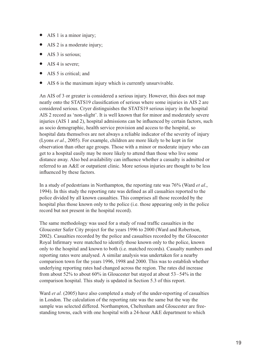- AIS 1 is a minor injury;
- AIS 2 is a moderate injury;
- AIS 3 is serious;
- AIS 4 is severe:
- AIS 5 is critical; and
- AIS 6 is the maximum injury which is currently unsurvivable.

An AIS of 3 or greater is considered a serious injury. However, this does not map neatly onto the STATS19 classification of serious where some injuries in AIS 2 are considered serious. Cryer distinguishes the STATS19 serious injury in the hospital AIS 2 record as 'non-slight'. It is well known that for minor and moderately severe injuries (AIS 1 and 2), hospital admissions can be influenced by certain factors, such as socio demographic, health service provision and access to the hospital, so hospital data themselves are not always a reliable indicator of the severity of injury (Lyons et al., 2005). For example, children are more likely to be kept in for observation than other age groups. Those with a minor or moderate injury who can get to a hospital easily may be more likely to attend than those who live some distance away. Also bed availability can influence whether a casualty is admitted or referred to an A&E or outpatient clinic. More serious injuries are thought to be less influenced by these factors.

In a study of pedestrians in Northampton, the reporting rate was 76% (Ward et al., 1994). In this study the reporting rate was defined as all casualties reported to the police divided by all known casualties. This comprises all those recorded by the hospital plus those known only to the police (i.e. those appearing only in the police record but not present in the hospital record).

The same methodology was used for a study of road traffic casualties in the Gloucester Safer City project for the years 1996 to 2000 (Ward and Robertson, 2002). Casualties recorded by the police and casualties recorded by the Gloucester Royal Infirmary were matched to identify those known only to the police, known only to the hospital and known to both (i.e. matched records). Casualty numbers and reporting rates were analysed. A similar analysis was undertaken for a nearby comparison town for the years 1996, 1998 and 2000. This was to establish whether underlying reporting rates had changed across the region. The rates did increase from about 52% to about 60% in Gloucester but stayed at about 53–54% in the comparison hospital. This study is updated in Section 5.3 of this report.

Ward *et al.* (2005) have also completed a study of the under-reporting of casualties in London. The calculation of the reporting rate was the same but the way the sample was selected differed. Northampton, Cheltenham and Gloucester are freestanding towns, each with one hospital with a 24-hour A&E department to which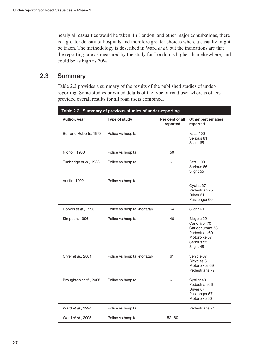nearly all casualties would be taken. In London, and other major conurbations, there is a greater density of hospitals and therefore greater choices where a casualty might be taken. The methodology is described in Ward et al. but the indications are that the reporting rate as measured by the study for London is higher than elsewhere, and could be as high as 70%.

### 2.3 Summary

Table 2.2 provides a summary of the results of the published studies of underreporting. Some studies provided details of the type of road user whereas others provided overall results for all road users combined.

| Table 2.2: Summary of previous studies of under-reporting |                               |                             |                                                                                                            |  |  |
|-----------------------------------------------------------|-------------------------------|-----------------------------|------------------------------------------------------------------------------------------------------------|--|--|
| Author, year                                              | <b>Type of study</b>          | Per cent of all<br>reported | Other percentages<br>reported                                                                              |  |  |
| Bull and Roberts, 1973                                    | Police vs hospital            |                             | Fatal 100<br>Serious 81<br>Slight 65                                                                       |  |  |
| Nicholl, 1980                                             | Police vs hospital            | 50                          |                                                                                                            |  |  |
| Tunbridge et al., 1988                                    | Police vs hospital            | 61                          | Fatal 100<br>Serious 66<br>Slight 55                                                                       |  |  |
| <b>Austin, 1992</b>                                       | Police vs hospital            |                             | Cyclist 67<br>Pedestrian 75<br>Driver <sub>61</sub><br>Passenger 60                                        |  |  |
| Hopkin et al., 1993                                       | Police vs hospital (no fatal) | 64                          | Slight 69                                                                                                  |  |  |
| Simpson, 1996                                             | Police vs hospital            | 46                          | Bicycle 22<br>Car driver 70<br>Car occupant 53<br>Pedestrian 60<br>Motorbike 57<br>Serious 55<br>Slight 45 |  |  |
| Cryer et al., 2001                                        | Police vs hospital (no fatal) | 61                          | Vehicle 67<br>Bicycles 31<br>Motorbikes 69<br>Pedestrians 72                                               |  |  |
| Broughton et al., 2005                                    | Police vs hospital            | 61                          | Cyclist 43<br>Pedestrian 66<br>Driver <sub>67</sub><br>Passenger 57<br>Motorbike 60                        |  |  |
| Ward et al., 1994                                         | Police vs hospital            |                             | Pedestrians 74                                                                                             |  |  |
| Ward et al., 2005                                         | Police vs hospital            | $52 - 60$                   |                                                                                                            |  |  |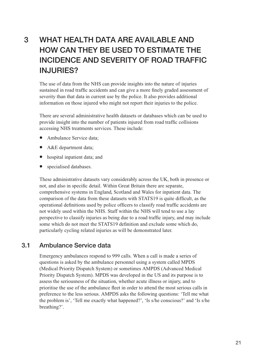# 3 WHAT HEALTH DATA ARE AVAILABLE AND HOW CAN THEY BE USED TO ESTIMATE THE INCIDENCE AND SEVERITY OF ROAD TRAFFIC INJURIES?

The use of data from the NHS can provide insights into the nature of injuries sustained in road traffic accidents and can give a more finely graded assessment of severity than that data in current use by the police. It also provides additional information on those injured who might not report their injuries to the police.

There are several administrative health datasets or databases which can be used to provide insight into the number of patients injured from road traffic collisions accessing NHS treatments services. These include:

- Ambulance Service data;
- A&E department data;
- hospital inpatient data; and
- specialised databases.

These administrative datasets vary considerably across the UK, both in presence or not, and also in specific detail. Within Great Britain there are separate, comprehensive systems in England, Scotland and Wales for inpatient data. The comparison of the data from these datasets with STATS19 is quite difficult, as the operational definitions used by police officers to classify road traffic accidents are not widely used within the NHS. Staff within the NHS will tend to use a lay perspective to classify injuries as being due to a road traffic injury, and may include some which do not meet the STATS19 definition and exclude some which do, particularly cycling related injuries as will be demonstrated later.

#### 3.1 Ambulance Service data

Emergency ambulances respond to 999 calls. When a call is made a series of questions is asked by the ambulance personnel using a system called MPDS (Medical Priority Dispatch System) or sometimes AMPDS (Advanced Medical Priority Dispatch System). MPDS was developed in the US and its purpose is to assess the seriousness of the situation, whether acute illness or injury, and to prioritise the use of the ambulance fleet in order to attend the most serious calls in preference to the less serious. AMPDS asks the following questions: 'Tell me what the problem is', 'Tell me exactly what happened?', 'Is s/he conscious?' and 'Is s/he breathing?'.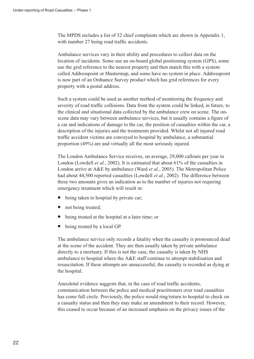The MPDS includes a list of 32 chief complaints which are shown in Appendix 1, with number 27 being road traffic accidents.

Ambulance services vary in their ability and procedures to collect data on the location of incidents. Some use an on-board global positioning system (GPS), some use the grid reference to the nearest property and then match this with a system called Addresspoint or Mastermap, and some have no system in place. Addresspoint is now part of an Ordnance Survey product which has grid references for every property with a postal address.

Such a system could be used as another method of monitoring the frequency and severity of road traffic collisions. Data from the system could be linked, in future, to the clinical and situational data collected by the ambulance crew on scene. The onscene data may vary between ambulance services, but it usually contains a figure of a car and indications of damage to the car, the position of casualties within the car, a description of the injuries and the treatments provided. Whilst not all injured road traffic accident victims are conveyed to hospital by ambulance, a substantial proportion (49%) are and virtually all the most seriously injured.

The London Ambulance Service receives, on average, 29,000 callouts per year in London (Lowdell *et al.*, 2002). It is estimated that about  $61\%$  of the casualties in London arrive at A&E by ambulance (Ward *et al.*, 2005). The Metropolitan Police had about 44,500 reported casualties (Lowdell *et al.*, 2002). The difference between these two amounts gives an indication as to the number of injuries not requiring emergency treatment which will result in:

- being taken to hospital by private car;
- not being treated;
- being treated at the hospital at a later time; or
- being treated by a local GP.

The ambulance service only records a fatality when the casualty is pronounced dead at the scene of the accident. They are then usually taken by private ambulance directly to a mortuary. If this is not the case, the casualty is taken by NHS ambulance to hospital where the A&E staff continue to attempt stabilisation and resuscitation. If these attempts are unsuccessful, the casualty is recorded as dying at the hospital.

Anecdotal evidence suggests that, in the case of road traffic accidents, communication between the police and medical practitioners over road casualties has come full circle. Previously, the police would ring/return to hospital to check on a casualty status and then they may make an amendment to their record. However, this ceased to occur because of an increased emphasis on the privacy issues of the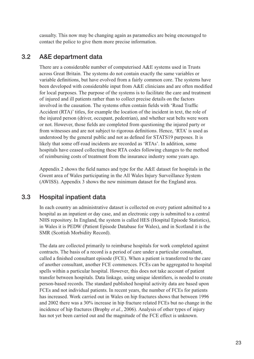casualty. This now may be changing again as paramedics are being encouraged to contact the police to give them more precise information.

#### 3.2 A&E department data

There are a considerable number of computerised A&E systems used in Trusts across Great Britain. The systems do not contain exactly the same variables or variable definitions, but have evolved from a fairly common core. The systems have been developed with considerable input from A&E clinicians and are often modified for local purposes. The purpose of the systems is to facilitate the care and treatment of injured and ill patients rather than to collect precise details on the factors involved in the causation. The systems often contain fields with 'Road Traffic Accident (RTA)' titles, for example the location of the incident in text, the role of the injured person (driver, occupant, pedestrian), and whether seat belts were worn or not. However, those fields are completed from questioning the injured party or from witnesses and are not subject to rigorous definitions. Hence, 'RTA' is used as understood by the general public and not as defined for STATS19 purposes. It is likely that some off-road incidents are recorded as 'RTAs'. In addition, some hospitals have ceased collecting these RTA codes following changes to the method of reimbursing costs of treatment from the insurance industry some years ago.

Appendix 2 shows the field names and type for the A&E dataset for hospitals in the Gwent area of Wales participating in the All Wales Injury Surveillance System (AWISS). Appendix 3 shows the new minimum dataset for the England area.

#### 3.3 Hospital inpatient data

In each country an administrative dataset is collected on every patient admitted to a hospital as an inpatient or day case, and an electronic copy is submitted to a central NHS repository. In England, the system is called HES (Hospital Episode Statistics), in Wales it is PEDW (Patient Episode Database for Wales), and in Scotland it is the SMR (Scottish Morbidity Record).

The data are collected primarily to reimburse hospitals for work completed against contracts. The basis of a record is a period of care under a particular consultant, called a finished consultant episode (FCE). When a patient is transferred to the care of another consultant, another FCE commences. FCEs can be aggregated to hospital spells within a particular hospital. However, this does not take account of patient transfer between hospitals. Data linkage, using unique identifiers, is needed to create person-based records. The standard published hospital activity data are based upon FCEs and not individual patients. In recent years, the number of FCEs for patients has increased. Work carried out in Wales on hip fractures shows that between 1996 and 2002 there was a 30% increase in hip fracture related FCEs but no change in the incidence of hip fractures (Brophy et al., 2006). Analysis of other types of injury has not yet been carried out and the magnitude of the FCE effect is unknown.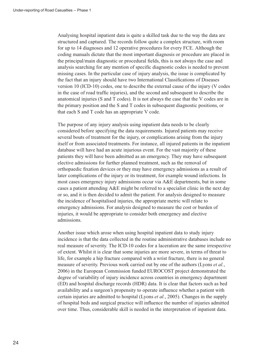Analysing hospital inpatient data is quite a skilled task due to the way the data are structured and captured. The records follow quite a complex structure, with room for up to 14 diagnoses and 12 operative procedures for every FCE. Although the coding manuals dictate that the most important diagnosis or procedure are placed in the principal/main diagnostic or procedural fields, this is not always the case and analysis searching for any mention of specific diagnostic codes is needed to prevent missing cases. In the particular case of injury analysis, the issue is complicated by the fact that an injury should have two International Classifications of Diseases version 10 (ICD-10) codes, one to describe the external cause of the injury (V codes in the case of road traffic injuries), and the second and subsequent to describe the anatomical injuries (S and T codes). It is not always the case that the V codes are in the primary position and the S and T codes in subsequent diagnostic positions, or that each S and T code has an appropriate V code.

The purpose of any injury analysis using inpatient data needs to be clearly considered before specifying the data requirements. Injured patients may receive several bouts of treatment for the injury, or complications arising from the injury itself or from associated treatments. For instance, all injured patients in the inpatient database will have had an acute injurious event. For the vast majority of these patients they will have been admitted as an emergency. They may have subsequent elective admissions for further planned treatment, such as the removal of orthopaedic fixation devices or they may have emergency admissions as a result of later complications of the injury or its treatment, for example wound infections. In most cases emergency injury admissions occur via A&E departments, but in some cases a patient attending A&E might be referred to a specialist clinic in the next day or so, and it is then decided to admit the patient. For analysis designed to measure the incidence of hospitalised injuries, the appropriate metric will relate to emergency admissions. For analysis designed to measure the cost or burden of injuries, it would be appropriate to consider both emergency and elective admissions.

Another issue which arose when using hospital inpatient data to study injury incidence is that the data collected in the routine administrative databases include no real measure of severity. The ICD-10 codes for a laceration are the same irrespective of extent. Whilst it is clear that some injuries are more severe, in terms of threat to life, for example a hip fracture compared with a wrist fracture, there is no general measure of severity. Previous work carried out by one of the authors (Lyons et al., 2006) in the European Commission funded EUROCOST project demonstrated the degree of variability of injury incidence across countries in emergency department (ED) and hospital discharge records (HDR) data. It is clear that factors such as bed availability and a surgeon's propensity to operate influence whether a patient with certain injuries are admitted to hospital (Lyons et al., 2005). Changes in the supply of hospital beds and surgical practice will influence the number of injuries admitted over time. Thus, considerable skill is needed in the interpretation of inpatient data.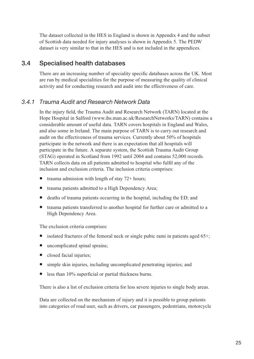The dataset collected in the HES in England is shown in Appendix 4 and the subset of Scottish data needed for injury analyses is shown in Appendix 5. The PEDW dataset is very similar to that in the HES and is not included in the appendices.

### 3.4 Specialised health databases

There are an increasing number of speciality specific databases across the UK. Most are run by medical specialities for the purpose of measuring the quality of clinical activity and for conducting research and audit into the effectiveness of care.

#### 3.4.1 Trauma Audit and Research Network Data

In the injury field, the Trauma Audit and Research Network (TARN) located at the Hope Hospital in Salford (www.ihs.man.ac.uk/ResearchNetworks/TARN) contains a considerable amount of useful data. TARN covers hospitals in England and Wales, and also some in Ireland. The main purpose of TARN is to carry out research and audit on the effectiveness of trauma services. Currently about 50% of hospitals participate in the network and there is an expectation that all hospitals will participate in the future. A separate system, the Scottish Trauma Audit Group (STAG) operated in Scotland from 1992 until 2004 and contains 52,000 records. TARN collects data on all patients admitted to hospital who fulfil any of the inclusion and exclusion criteria. The inclusion criteria comprises:

- trauma admission with length of stay 72+ hours;
- trauma patients admitted to a High Dependency Area;
- deaths of trauma patients occurring in the hospital, including the ED; and
- trauma patients transferred to another hospital for further care or admitted to a High Dependency Area.

The exclusion criteria comprises:

- isolated fractures of the femoral neck or single pubic rami in patients aged  $65+:$
- uncomplicated spinal sprains:
- closed facial injuries;
- simple skin injuries, including uncomplicated penetrating injuries; and
- less than 10% superficial or partial thickness burns.

There is also a list of exclusion criteria for less severe injuries to single body areas.

Data are collected on the mechanism of injury and it is possible to group patients into categories of road user, such as drivers, car passengers, pedestrians, motorcycle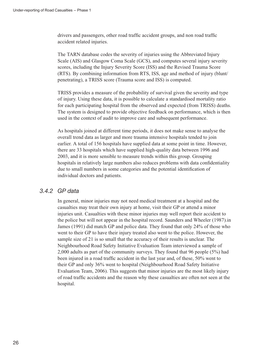drivers and passengers, other road traffic accident groups, and non road traffic accident related injuries.

The TARN database codes the severity of injuries using the Abbreviated Injury Scale (AIS) and Glasgow Coma Scale (GCS), and computes several injury severity scores, including the Injury Severity Score (ISS) and the Revised Trauma Score (RTS). By combining information from RTS, ISS, age and method of injury (blunt/ penetrating), a TRISS score (Trauma score and ISS) is computed.

TRISS provides a measure of the probability of survival given the severity and type of injury. Using these data, it is possible to calculate a standardised mortality ratio for each participating hospital from the observed and expected (from TRISS) deaths. The system is designed to provide objective feedback on performance, which is then used in the context of audit to improve care and subsequent performance.

As hospitals joined at different time periods, it does not make sense to analyse the overall trend data as larger and more trauma intensive hospitals tended to join earlier. A total of 156 hospitals have supplied data at some point in time. However, there are 33 hospitals which have supplied high-quality data between 1996 and 2003, and it is more sensible to measure trends within this group. Grouping hospitals in relatively large numbers also reduces problems with data confidentiality due to small numbers in some categories and the potential identification of individual doctors and patients.

#### 3.4.2 GP data

In general, minor injuries may not need medical treatment at a hospital and the casualties may treat their own injury at home, visit their GP or attend a minor injuries unit. Casualties with these minor injuries may well report their accident to the police but will not appear in the hospital record. Saunders and Wheeler (1987).in James (1991) did match GP and police data. They found that only 24% of those who went to their GP to have their injury treated also went to the police. However, the sample size of 21 is so small that the accuracy of their results is unclear. The Neighbourhood Road Safety Initiative Evaluation Team interviewed a sample of 2,000 adults as part of the community surveys. They found that 96 people (5%) had been injured in a road traffic accident in the last year and, of these, 50% went to their GP and only 36% went to hospital (Neighbourhood Road Safety Initiative Evaluation Team, 2006). This suggests that minor injuries are the most likely injury of road traffic accidents and the reason why these casualties are often not seen at the hospital.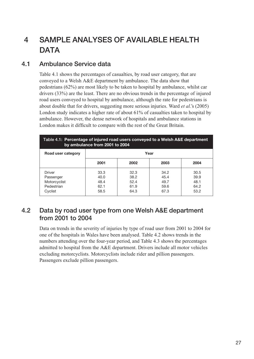# 4 SAMPLE ANALYSES OF AVAILABLE HEALTH **DATA**

### 4.1 Ambulance Service data

Table 4.1 shows the percentages of casualties, by road user category, that are conveyed to a Welsh A&E department by ambulance. The data show that pedestrians (62%) are most likely to be taken to hospital by ambulance, whilst car drivers (33%) are the least. There are no obvious trends in the percentage of injured road users conveyed to hospital by ambulance, although the rate for pedestrians is about double that for drivers, suggesting more serious injuries. Ward *et al.*'s (2005) London study indicates a higher rate of about 61% of casualties taken to hospital by ambulance. However, the dense network of hospitals and ambulance stations in London makes it difficult to compare with the rest of the Great Britain.

| Table 4.1: Percentage of injured road users conveyed to a Welsh A&E department<br>by ambulance from 2001 to 2004 |                                      |                                      |                                      |                                      |  |  |
|------------------------------------------------------------------------------------------------------------------|--------------------------------------|--------------------------------------|--------------------------------------|--------------------------------------|--|--|
| Road user category                                                                                               | Year                                 |                                      |                                      |                                      |  |  |
|                                                                                                                  | 2001                                 | 2002                                 | 2003                                 | 2004                                 |  |  |
| Driver<br>Passenger<br>Motorcyclist<br>Pedestrian<br>Cvclist                                                     | 33.3<br>40.0<br>48.4<br>62.1<br>58.5 | 32.3<br>38.2<br>52.4<br>61.9<br>64.3 | 34.2<br>45.4<br>49.7<br>59.6<br>67.3 | 30.5<br>39.9<br>48.1<br>64.2<br>53.2 |  |  |

### 4.2 Data by road user type from one Welsh A&E department from 2001 to 2004

Data on trends in the severity of injuries by type of road user from 2001 to 2004 for one of the hospitals in Wales have been analysed. Table 4.2 shows trends in the numbers attending over the four-year period, and Table 4.3 shows the percentages admitted to hospital from the A&E department. Drivers include all motor vehicles excluding motorcyclists. Motorcyclists include rider and pillion passengers. Passengers exclude pillion passengers.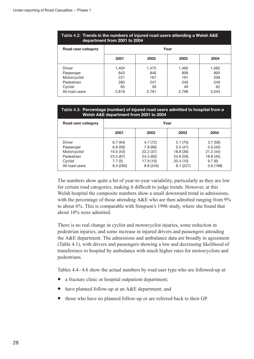#### Table 4.2: Trends in the numbers of injured road users attending a Welsh A&E department from 2001 to 2004

| Road user category                                                             |                                           |                                           | Year                                      |                                           |
|--------------------------------------------------------------------------------|-------------------------------------------|-------------------------------------------|-------------------------------------------|-------------------------------------------|
|                                                                                | 2001                                      | 2002                                      | 2003                                      | 2004                                      |
| Driver<br>Passenger<br>Motorcyclist<br>Pedestrian<br>Cyclist<br>All road users | 1,404<br>843<br>221<br>285<br>65<br>2,818 | 1,475<br>846<br>167<br>247<br>56<br>2,791 | 1,460<br>858<br>191<br>240<br>49<br>2,798 | 1,582<br>893<br>208<br>240<br>62<br>3,543 |

#### Table 4.3: Percentage (number) of injured road users admitted to hospital from a Welsh A&E department from 2001 to 2004

| Road user category                                                             |                                                                  |                                                                    | Year                                                                 |                                                                  |
|--------------------------------------------------------------------------------|------------------------------------------------------------------|--------------------------------------------------------------------|----------------------------------------------------------------------|------------------------------------------------------------------|
|                                                                                | 2001                                                             | 2002                                                               | 2003                                                                 | 2004                                                             |
| Driver<br>Passenger<br>Motorcyclist<br>Pedestrian<br>Cyclist<br>All road users | 6.7(94)<br>6.6(56)<br>19.5(43)<br>23.5(67)<br>7.7(5)<br>9.4(265) | 4.7(72)<br>7.8(66)<br>22.2(37)<br>24.3(60)<br>17.9(10)<br>8.8(245) | 5.1(75)<br>5.5(47)<br>18.8 (36)<br>24.6 (59)<br>20.4(10)<br>8.1(227) | 3.7(58)<br>5.0(45)<br>21.2(44)<br>18.8(45)<br>9.7(6)<br>5.6(198) |

The numbers show quite a bit of year-to-year variability, particularly as they are low for certain road categories, making it difficult to judge trends. However, at this Welsh hospital the composite numbers show a small downward trend in admissions, with the percentage of those attending A&E who are then admitted ranging from 9% to about 6%. This is comparable with Simpson's 1996 study, where she found that about 10% were admitted.

There is no real change in cyclist and motorcyclist injuries, some reduction in pedestrian injuries, and some increase in injured drivers and passengers attending the A&E department. The admissions and ambulance data are broadly in agreement (Table 4.1), with drivers and passengers showing a low and decreasing likelihood of transference to hospital by ambulance with much higher rates for motorcyclists and pedestrians.

Tables 4.4–4.6 show the actual numbers by road user type who are followed-up at:

- a fracture clinic or hospital outpatient department;
- have planned follow-up at an A&E department; and
- those who have no planned follow-up or are referred back to their GP.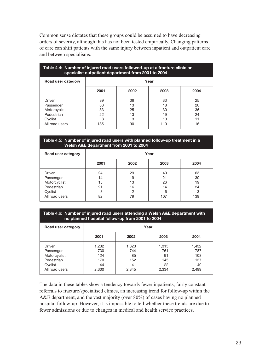Common sense dictates that these groups could be assumed to have decreasing orders of severity, although this has not been tested empirically. Changing patterns of care can shift patients with the same injury between inpatient and outpatient care and between specialisms.

| Table 4.4: Number of injured road users followed-up at a fracture clinic or<br>specialist outpatient department from 2001 to 2004 |      |      |      |  |  |  |
|-----------------------------------------------------------------------------------------------------------------------------------|------|------|------|--|--|--|
|                                                                                                                                   |      |      |      |  |  |  |
| 2001                                                                                                                              | 2002 | 2003 | 2004 |  |  |  |
| 39                                                                                                                                | 36   | 33   | 25   |  |  |  |
| 33                                                                                                                                | 13   | 18   | 20   |  |  |  |
| 33                                                                                                                                | 25   | 30   | 36   |  |  |  |
| 22                                                                                                                                | 13   | 19   | 24   |  |  |  |
| 8                                                                                                                                 | 3    | 10   |      |  |  |  |
| 135                                                                                                                               | 90   | 110  | 116  |  |  |  |
|                                                                                                                                   |      |      | Year |  |  |  |

#### Table 4.5: Number of injured road users with planned follow-up treatment in a Welsh A&E department from 2001 to 2004

| Road user category | Year |      |      |      |  |
|--------------------|------|------|------|------|--|
|                    | 2001 | 2002 | 2003 | 2004 |  |
| <b>Driver</b>      | 24   | 29   | 40   | 63   |  |
| Passenger          | 14   | 19   | 21   | 30   |  |
| Motorcyclist       | 15   | 13   | 26   | 19   |  |
| Pedestrian         | 21   | 16   | 14   | 24   |  |
| Cyclist            | 8    | 2    | 6    | 3    |  |
| All road users     | 82   | 79   | 107  | 139  |  |

#### Table 4.6: Number of injured road users attending a Welsh A&E department with no planned hospital follow-up from 2001 to 2004

| Road user category                                                                    |                                           |                                          | Year                                     |                                           |
|---------------------------------------------------------------------------------------|-------------------------------------------|------------------------------------------|------------------------------------------|-------------------------------------------|
|                                                                                       | 2001                                      | 2002                                     | 2003                                     | 2004                                      |
| <b>Driver</b><br>Passenger<br>Motorcyclist<br>Pedestrian<br>Cyclist<br>All road users | 1,232<br>730<br>124<br>170<br>44<br>2,300 | 1,323<br>744<br>85<br>152<br>41<br>2,345 | 1,315<br>761<br>91<br>145<br>22<br>2,334 | 1,432<br>787<br>103<br>137<br>40<br>2,499 |

The data in these tables show a tendency towards fewer inpatients, fairly constant referrals to fracture/specialised clinics, an increasing trend for follow-up within the A&E department, and the vast majority (over 80%) of cases having no planned hospital follow-up. However, it is impossible to tell whether these trends are due to fewer admissions or due to changes in medical and health service practices.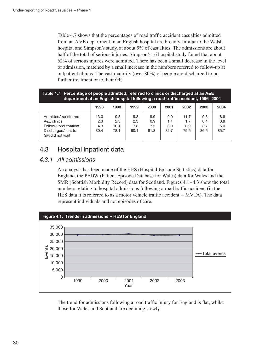Table 4.7 shows that the percentages of road traffic accident casualties admitted from an A&E department in an English hospital are broadly similar to the Welsh hospital and Simpson's study, at about 9% of casualties. The admissions are about half of the total of serious injuries. Simpson's 16 hospital study found that about 62% of serious injures were admitted. There has been a small decrease in the level of admission, matched by a small increase in the numbers referred to follow-up at outpatient clinics. The vast majority (over 80%) of people are discharged to no further treatment or to their GP.

| Table 4.7: Percentage of people admitted, referred to clinics or discharged at an A&E<br>department at an English hospital following a road traffic accident, 1996-2004 |                            |                            |                           |                           |                           |                            |                           |                           |
|-------------------------------------------------------------------------------------------------------------------------------------------------------------------------|----------------------------|----------------------------|---------------------------|---------------------------|---------------------------|----------------------------|---------------------------|---------------------------|
|                                                                                                                                                                         | 1996                       | 1998                       | 1999                      | 2000                      | 2001                      | 2002                       | 2003                      | 2004                      |
| Admitted/transferred<br>A&E clinics<br>Follow-up/outpatient<br>Discharged/sent to<br>GP/did not wait                                                                    | 13.0<br>2.3<br>4.3<br>80.4 | 9.5<br>2.3<br>10.1<br>78.1 | 9.8<br>2.3<br>7.8<br>80.1 | 9.9<br>0.9<br>7.5<br>81.8 | 9.0<br>1.4<br>6.9<br>82.7 | 11.7<br>1.7<br>6.9<br>79.6 | 9.3<br>0.4<br>3.7<br>86.6 | 8.6<br>0.8<br>5.0<br>85.7 |

### 4.3 Hospital inpatient data

#### 4.3.1 All admissions

An analysis has been made of the HES (Hospital Episode Statistics) data for England, the PEDW (Patient Episode Database for Wales) data for Wales and the SMR (Scottish Morbidity Record) data for Scotland. Figures 4.1–4.3 show the total numbers relating to hospital admissions following a road traffic accident (in the HES data it is referred to as a motor vehicle traffic accident – MVTA). The data represent individuals and not episodes of care.



The trend for admissions following a road traffic injury for England is flat, whilst those for Wales and Scotland are declining slowly.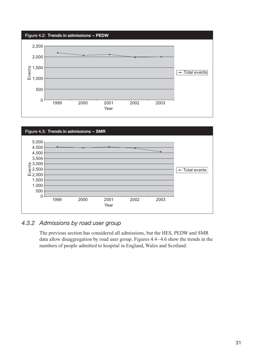



#### 4.3.2 Admissions by road user group

The previous section has considered all admissions, but the HES, PEDW and SMR data allow disaggregation by road user group. Figures 4.4–4.6 show the trends in the numbers of people admitted to hospital in England, Wales and Scotland.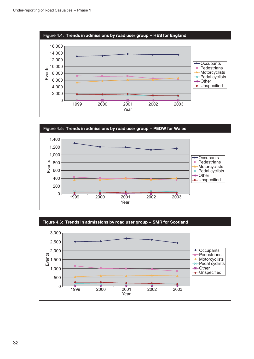





32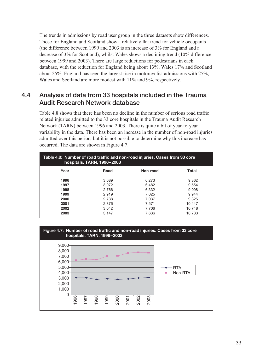The trends in admissions by road user group in the three datasets show differences. Those for England and Scotland show a relatively flat trend for vehicle occupants (the difference between 1999 and 2003 is an increase of 3% for England and a decrease of 3% for Scotland), whilst Wales shows a declining trend (10% difference between 1999 and 2003). There are large reductions for pedestrians in each database, with the reduction for England being about 13%, Wales 17% and Scotland about 25%. England has seen the largest rise in motorcyclist admissions with 25%, Wales and Scotland are more modest with 11% and 9%, respectively.

### 4.4 Analysis of data from 33 hospitals included in the Trauma Audit Research Network database

Table 4.8 shows that there has been no decline in the number of serious road traffic related injuries admitted to the 33 core hospitals in the Trauma Audit Research Network (TARN) between 1996 and 2003. There is quite a bit of year-to-year variability in the data. There has been an increase in the number of non-road injuries admitted over this period, but it is not possible to determine why this increase has occurred. The data are shown in Figure 4.7.

| Table 4.8: Number of road traffic and non-road injuries. Cases from 33 core<br>hospitals. TARN, 1996-2003 |                                                                      |                                                                      |                                                                         |  |  |  |  |
|-----------------------------------------------------------------------------------------------------------|----------------------------------------------------------------------|----------------------------------------------------------------------|-------------------------------------------------------------------------|--|--|--|--|
| Year                                                                                                      | Road                                                                 | Non-road                                                             | Total                                                                   |  |  |  |  |
| 1996<br>1997<br>1998<br>1999<br>2000<br>2001<br>2002<br>2003                                              | 3.089<br>3,072<br>2,766<br>2.919<br>2,788<br>2,876<br>3.042<br>3.147 | 6.273<br>6.482<br>6,332<br>7.025<br>7.037<br>7.571<br>7.706<br>7,636 | 9,362<br>9.554<br>9.098<br>9.944<br>9.825<br>10.447<br>10.748<br>10,783 |  |  |  |  |

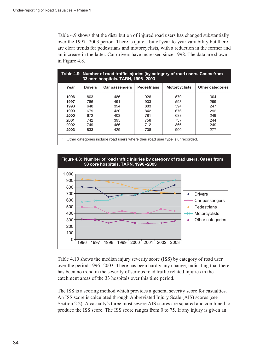Table 4.9 shows that the distribution of injured road users has changed substantially over the 1997–2003 period. There is quite a bit of year-to-year variability but there are clear trends for pedestrians and motorcyclists, with a reduction in the former and an increase in the latter. Car drivers have increased since 1998. The data are shown in Figure 4.8.

| Table 4.9: Number of road traffic injuries (by category of road users. Cases from<br>33 core hospitals. TARN, 1996-2003 |                   |                   |                    |                      |                         |  |  |
|-------------------------------------------------------------------------------------------------------------------------|-------------------|-------------------|--------------------|----------------------|-------------------------|--|--|
| Year                                                                                                                    | <b>Drivers</b>    | Car passengers    | <b>Pedestrians</b> | <b>Motorcyclists</b> | <b>Other categories</b> |  |  |
| 1996<br>1997                                                                                                            | 803<br>786        | 486<br>491        | 926<br>903         | 570<br>593           | 304<br>299              |  |  |
| 1998<br>1999<br>2000                                                                                                    | 648<br>679        | 394<br>430<br>403 | 883<br>842<br>781  | 594<br>676           | 247<br>292              |  |  |
| 2001<br>2002                                                                                                            | 672<br>742<br>749 | 395<br>466        | 758<br>712         | 683<br>737<br>866    | 249<br>244<br>249       |  |  |
| 2003                                                                                                                    | 833               | 429               | 708                | 900                  | 277                     |  |  |
| Other categories include road users where their road user type is unrecorded<br>*                                       |                   |                   |                    |                      |                         |  |  |

\* Other categories include road users where their road user type is unrecorded.



Table 4.10 shows the median injury severity score (ISS) by category of road user over the period 1996–2003. There has been hardly any change, indicating that there has been no trend in the severity of serious road traffic related injuries in the catchment areas of the 33 hospitals over this time period.

The ISS is a scoring method which provides a general severity score for casualties. An ISS score is calculated through Abbreviated Injury Scale (AIS) scores (see Section 2.2). A casualty's three most severe AIS scores are squared and combined to produce the ISS score. The ISS score ranges from 0 to 75. If any injury is given an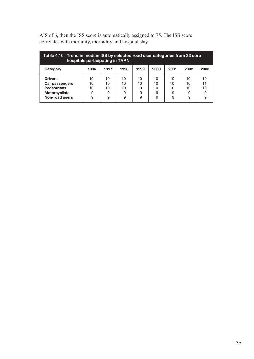| Table 4.10: Trend in median ISS by selected road user categories from 33 core<br>hospitals participating in TARN |                          |                          |                          |                          |                          |                          |                          |                          |
|------------------------------------------------------------------------------------------------------------------|--------------------------|--------------------------|--------------------------|--------------------------|--------------------------|--------------------------|--------------------------|--------------------------|
| Category                                                                                                         | 1996                     | 1997                     | 1998                     | 1999                     | 2000                     | 2001                     | 2002                     | 2003                     |
| <b>Drivers</b><br>Car passengers<br><b>Pedestrians</b><br><b>Motorcyclists</b><br>Non-road users                 | 10<br>10<br>10<br>9<br>9 | 10<br>10<br>10<br>9<br>9 | 10<br>10<br>10<br>9<br>9 | 10<br>10<br>10<br>9<br>9 | 10<br>10<br>10<br>9<br>9 | 10<br>10<br>10<br>9<br>9 | 10<br>10<br>10<br>9<br>9 | 10<br>11<br>10<br>9<br>9 |

AIS of 6, then the ISS score is automatically assigned to 75. The ISS score correlates with mortality, morbidity and hospital stay.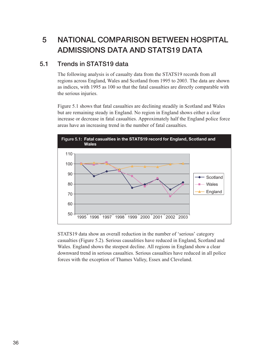# 5 NATIONAL COMPARISON BETWEEN HOSPITAL ADMISSIONS DATA AND STATS19 DATA

#### 5.1 Trends in STATS19 data

The following analysis is of casualty data from the STATS19 records from all regions across England, Wales and Scotland from 1995 to 2003. The data are shown as indices, with 1995 as 100 so that the fatal casualties are directly comparable with the serious injuries.

Figure 5.1 shows that fatal casualties are declining steadily in Scotland and Wales but are remaining steady in England. No region in England shows either a clear increase or decrease in fatal casualties. Approximately half the England police force areas have an increasing trend in the number of fatal casualties.



STATS19 data show an overall reduction in the number of 'serious' category casualties (Figure 5.2). Serious causalities have reduced in England, Scotland and Wales. England shows the steepest decline. All regions in England show a clear downward trend in serious casualties. Serious casualties have reduced in all police forces with the exception of Thames Valley, Essex and Cleveland.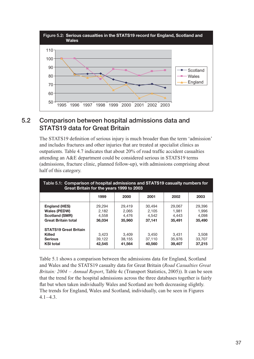

## 5.2 Comparison between hospital admissions data and STATS19 data for Great Britain

The STATS19 definition of serious injury is much broader than the term 'admission' and includes fractures and other injuries that are treated at specialist clinics as outpatients. Table 4.7 indicates that about 20% of road traffic accident casualties attending an A&E department could be considered serious in STATS19 terms (admissions, fracture clinic, planned follow-up), with admissions comprising about half of this category.

| Table 5.1: Comparison of hospital admissions and STATS19 casualty numbers for<br>Great Britain for the years 1999 to 2003 |                                    |                                    |                                    |                                    |                                    |  |
|---------------------------------------------------------------------------------------------------------------------------|------------------------------------|------------------------------------|------------------------------------|------------------------------------|------------------------------------|--|
|                                                                                                                           | 1999                               | 2000                               | 2001                               | 2002                               | 2003                               |  |
| <b>England (HES)</b><br><b>Wales (PEDW)</b><br><b>Scotland (SMR)</b><br><b>Great Britain total</b>                        | 29.294<br>2.182<br>4.558<br>36,034 | 29.419<br>2.065<br>4,476<br>35,960 | 30.494<br>2.105<br>4.542<br>37,141 | 29,067<br>1.981<br>4,443<br>35.491 | 29,396<br>1.996<br>4.098<br>35,490 |  |
| <b>STATS19 Great Britain</b><br><b>Killed</b><br><b>Serious</b><br><b>KSI total</b>                                       | 3,423<br>39,122<br>42.545          | 3.409<br>38.155<br>41.564          | 3,450<br>37,110<br>40,560          | 3.431<br>35,976<br>39,407          | 3.508<br>33.707<br>37,215          |  |

Table 5.1 shows a comparison between the admissions data for England, Scotland and Wales and the STATS19 casualty data for Great Britain (Road Casualties Great Britain: 2004 – Annual Report, Table 4c (Transport Statistics, 2005)). It can be seen that the trend for the hospital admissions across the three databases together is fairly flat but when taken individually Wales and Scotland are both decreasing slightly. The trends for England, Wales and Scotland, individually, can be seen in Figures  $4.1 - 4.3$ .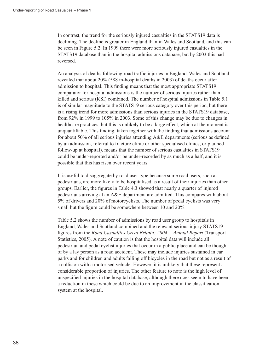In contrast, the trend for the seriously injured casualties in the STATS19 data is declining. The decline is greater in England than in Wales and Scotland, and this can be seen in Figure 5.2. In 1999 there were more seriously injured casualties in the STATS19 database than in the hospital admissions database, but by 2003 this had reversed.

An analysis of deaths following road traffic injuries in England, Wales and Scotland revealed that about 20% (588 in-hospital deaths in 2003) of deaths occur after admission to hospital. This finding means that the most appropriate STATS19 comparator for hospital admissions is the number of serious injuries rather than killed and serious (KSI) combined. The number of hospital admissions in Table 5.1 is of similar magnitude to the STATS19 serious category over this period, but there is a rising trend for more admissions than serious injuries in the STATS19 database, from 92% in 1999 to 105% in 2003. Some of this change may be due to changes in healthcare practices, but this is unlikely to be a large effect, which at the moment is unquantifiable. This finding, taken together with the finding that admissions account for about 50% of all serious injuries attending A&E departments (serious as defined by an admission, referral to fracture clinic or other specialised clinics, or planned follow-up at hospital), means that the number of serious casualties in STATS19 could be under-reported and/or be under-recorded by as much as a half, and it is possible that this has risen over recent years.

It is useful to disaggregate by road user type because some road users, such as pedestrians, are more likely to be hospitalised as a result of their injuries than other groups. Earlier, the figures in Table 4.3 showed that nearly a quarter of injured pedestrians arriving at an A&E department are admitted. This compares with about 5% of drivers and 20% of motorcyclists. The number of pedal cyclists was very small but the figure could be somewhere between 10 and 20%.

Table 5.2 shows the number of admissions by road user group to hospitals in England, Wales and Scotland combined and the relevant serious injury STATS19 figures from the Road Casualties Great Britain: 2004 – Annual Report (Transport Statistics, 2005). A note of caution is that the hospital data will include all pedestrian and pedal cyclist injuries that occur in a public place and can be thought of by a lay person as a road accident. These may include injuries sustained in car parks and for children and adults falling off bicycles in the road but not as a result of a collision with a motorised vehicle. However, it is unlikely that these represent a considerable proportion of injuries. The other feature to note is the high level of unspecified injuries in the hospital database, although there does seem to have been a reduction in these which could be due to an improvement in the classification system at the hospital.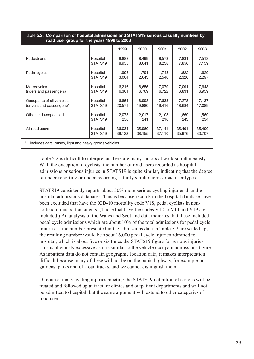| <u> </u><br><br>road user group for the years 1999 to 2003      |                     |        |        |        |        |        |  |  |
|-----------------------------------------------------------------|---------------------|--------|--------|--------|--------|--------|--|--|
|                                                                 |                     | 1999   | 2000   | 2001   | 2002   | 2003   |  |  |
| Pedestrians                                                     | Hospital            | 8,888  | 8,499  | 8,573  | 7,831  | 7,513  |  |  |
|                                                                 | STATS <sub>19</sub> | 8,955  | 8,641  | 8,238  | 7,856  | 7,159  |  |  |
| Pedal cycles                                                    | Hospital            | 1,998  | 1,791  | 1,748  | 1,622  | 1,629  |  |  |
|                                                                 | STATS <sub>19</sub> | 3,004  | 2,643  | 2,540  | 2,320  | 2,297  |  |  |
| Motorcycles                                                     | Hospital            | 6,216  | 6,655  | 7,079  | 7.091  | 7,643  |  |  |
| (riders and passengers)                                         | STATS <sub>19</sub> | 6,361  | 6,769  | 6,722  | 6,831  | 6,959  |  |  |
| Occupants of all vehicles                                       | Hospital            | 16,854 | 16,998 | 17,633 | 17,278 | 17,137 |  |  |
| (drivers and passengers)*                                       | STATS <sub>19</sub> | 20,571 | 19,880 | 19,416 | 18,684 | 17,089 |  |  |
| Other and unspecified                                           | Hospital            | 2,078  | 2,017  | 2,108  | 1,669  | 1,569  |  |  |
|                                                                 | STATS <sub>19</sub> | 250    | 241    | 216    | 243    | 234    |  |  |
| All road users                                                  | Hospital            | 36,034 | 35,960 | 37,141 | 35,491 | 35,490 |  |  |
|                                                                 | STATS <sub>19</sub> | 39,122 | 38,155 | 37,110 | 35,976 | 33,707 |  |  |
| $\ast$<br>Includes cars, buses, light and heavy goods vehicles. |                     |        |        |        |        |        |  |  |

# Table 5.2: Comparison of hospital admissions and STATS19 serious casualty numbers by

Table 5.2 is difficult to interpret as there are many factors at work simultaneously. With the exception of cyclists, the number of road users recorded as hospital admissions or serious injuries in STATS19 is quite similar, indicating that the degree of under-reporting or under-recording is fairly similar across road user types.

STATS19 consistently reports about 50% more serious cycling injuries than the hospital admissions databases. This is because records in the hospital database have been excluded that have the ICD-10 mortality code V18, pedal cyclists in noncollision transport accidents. (Those that have the codes V12 to V14 and V19 are included.) An analysis of the Wales and Scotland data indicates that these included pedal cycle admissions which are about 10% of the total admissions for pedal cycle injuries. If the number presented in the admissions data in Table 5.2 are scaled up, the resulting number would be about 16,000 pedal cycle injuries admitted to hospital, which is about five or six times the STATS19 figure for serious injuries. This is obviously excessive as it is similar to the vehicle occupant admissions figure. As inpatient data do not contain geographic location data, it makes interpretation difficult because many of these will not be on the pubic highway, for example in gardens, parks and off-road tracks, and we cannot distinguish them.

Of course, many cycling injuries meeting the STATS19 definition of serious will be treated and followed up at fracture clinics and outpatient departments and will not be admitted to hospital, but the same argument will extend to other categories of road user.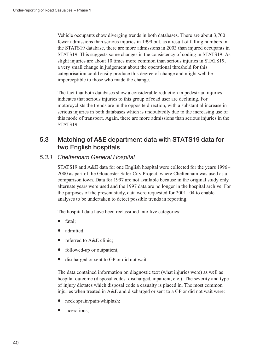Vehicle occupants show diverging trends in both databases. There are about 3,700 fewer admissions than serious injuries in 1999 but, as a result of falling numbers in the STATS19 database, there are more admissions in 2003 than injured occupants in STATS19. This suggests some changes in the consistency of coding in STATS19. As slight injuries are about 10 times more common than serious injuries in STATS19, a very small change in judgement about the operational threshold for this categorisation could easily produce this degree of change and might well be imperceptible to those who made the change.

The fact that both databases show a considerable reduction in pedestrian injuries indicates that serious injuries to this group of road user are declining. For motorcyclists the trends are in the opposite direction, with a substantial increase in serious injuries in both databases which is undoubtedly due to the increasing use of this mode of transport. Again, there are more admissions than serious injuries in the STATS<sub>19</sub>.

## 5.3 Matching of A&E department data with STATS19 data for two English hospitals

### 5.3.1 Cheltenham General Hospital

STATS19 and A&E data for one English hospital were collected for the years 1996– 2000 as part of the Gloucester Safer City Project, where Cheltenham was used as a comparison town. Data for 1997 are not available because in the original study only alternate years were used and the 1997 data are no longer in the hospital archive. For the purposes of the present study, data were requested for 2001–04 to enable analyses to be undertaken to detect possible trends in reporting.

The hospital data have been reclassified into five categories:

- fatal;
- admitted;
- referred to A&E clinic;
- followed-up or outpatient;
- discharged or sent to GP or did not wait.

The data contained information on diagnostic text (what injuries were) as well as hospital outcome (disposal codes: discharged, inpatient, etc.). The severity and type of injury dictates which disposal code a casualty is placed in. The most common injuries when treated in A&E and discharged or sent to a GP or did not wait were:

- neck sprain/pain/whiplash;
- lacerations: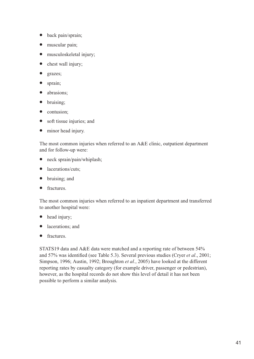- back pain/sprain;
- muscular pain;
- musculoskeletal injury;
- chest wall injury;
- grazes;
- sprain;
- abrasions;
- bruising;
- contusion;
- soft tissue injuries; and
- minor head injury.

The most common injuries when referred to an A&E clinic, outpatient department and for follow-up were:

- neck sprain/pain/whiplash;
- lacerations/cuts:
- bruising; and
- fractures.

The most common injuries when referred to an inpatient department and transferred to another hospital were:

- head injury;
- lacerations; and
- fractures.

STATS19 data and A&E data were matched and a reporting rate of between 54% and 57% was identified (see Table 5.3). Several previous studies (Cryer et al., 2001; Simpson, 1996; Austin, 1992; Broughton et al., 2005) have looked at the different reporting rates by casualty category (for example driver, passenger or pedestrian), however, as the hospital records do not show this level of detail it has not been possible to perform a similar analysis.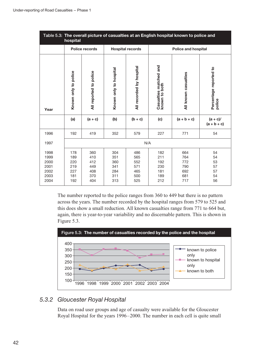| Table 5.3: The overall picture of casualties at an English hospital known to police and<br>hospital |                                               |                                               |                                               |                                               |                                               |                                               |                                        |  |
|-----------------------------------------------------------------------------------------------------|-----------------------------------------------|-----------------------------------------------|-----------------------------------------------|-----------------------------------------------|-----------------------------------------------|-----------------------------------------------|----------------------------------------|--|
|                                                                                                     |                                               | <b>Police records</b>                         |                                               | <b>Hospital records</b>                       |                                               | <b>Police and hospital</b>                    |                                        |  |
| Year                                                                                                | Known only to police                          | All reported to police                        | Known only to hospital                        | All recorded by hospital                      | Casualties matched and<br>known to both       | All known casualties                          | Percentage reported to<br>police       |  |
|                                                                                                     | (a)                                           | $(a + c)$                                     | (b)                                           | $(b + c)$                                     | (c)                                           | $(a + b + c)$                                 | $(a + c)$ /<br>$(a + b + c)$           |  |
| 1996                                                                                                | 192                                           | 419                                           | 352                                           | 579                                           | 227                                           | 771                                           | 54                                     |  |
| 1997                                                                                                |                                               |                                               |                                               | N/A                                           |                                               |                                               |                                        |  |
| 1998<br>1999<br>2000<br>2001<br>2002<br>2003<br>2004                                                | 178<br>189<br>220<br>219<br>227<br>181<br>192 | 360<br>410<br>412<br>449<br>408<br>370<br>404 | 304<br>351<br>360<br>341<br>284<br>311<br>313 | 486<br>565<br>552<br>571<br>465<br>500<br>525 | 182<br>211<br>192<br>230<br>181<br>189<br>212 | 664<br>764<br>772<br>790<br>692<br>681<br>717 | 54<br>54<br>53<br>57<br>57<br>54<br>56 |  |

The number reported to the police ranges from 360 to 449 but there is no pattern across the years. The number recorded by the hospital ranges from 579 to 525 and this does show a small reduction. All known casualties range from 771 to 664 but, again, there is year-to-year variability and no discernable pattern. This is shown in Figure 5.3.



### 5.3.2 Gloucester Royal Hospital

Data on road user groups and age of casualty were available for the Gloucester Royal Hospital for the years 1996–2000. The number in each cell is quite small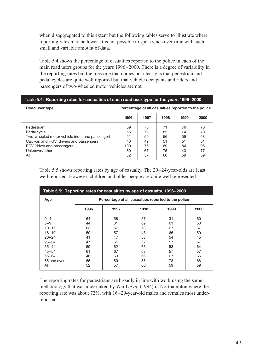when disaggregated to this extent but the following tables serve to illustrate where reporting rates may be lower. It is not possible to spot trends over time with such a small and variable amount of data.

Table 5.4 shows the percentage of casualties reported to the police in each of the main road users groups for the years 1996–2000. There is a degree of variability in the reporting rates but the message that comes out clearly is that pedestrian and pedal cycles are quite well reported but that vehicle occupants and riders and passengers of two-wheeled motor vehicles are not.

| Table 5.4: Reporting rates for casualties of each road user type for the years 1996–2000                                                                                       |                                                     |                                        |                                        |                                        |                                        |  |
|--------------------------------------------------------------------------------------------------------------------------------------------------------------------------------|-----------------------------------------------------|----------------------------------------|----------------------------------------|----------------------------------------|----------------------------------------|--|
| Road user type                                                                                                                                                                 | Percentage of all casualties reported to the police |                                        |                                        |                                        |                                        |  |
|                                                                                                                                                                                | 1996                                                | 1997                                   | 1998                                   | 1999                                   | 2000                                   |  |
| Pedestrian<br>Pedal cycle<br>Two-wheeled motor vehicle (rider and passenger)<br>Car, van and HGV (drivers and passengers<br>PCV (driver and passengers<br>Unknown/other<br>All | 69<br>55<br>51<br>46<br>100<br>60<br>52             | 78<br>73<br>59<br>49<br>75<br>67<br>57 | 71<br>85<br>56<br>51<br>89<br>75<br>60 | 76<br>74<br>59<br>51<br>84<br>43<br>59 | 70<br>70<br>68<br>51<br>96<br>77<br>59 |  |

Table 5.5 shows reporting rates by age of casualty. The 20–24-year-olds are least well reported. However, children and older people are quite well represented.

| Table 5.5: Reporting rates for casualties by age of casualty, 1996–2000                                                             |                                                                |                                                                |                                                                |                                                                |                                                                |  |
|-------------------------------------------------------------------------------------------------------------------------------------|----------------------------------------------------------------|----------------------------------------------------------------|----------------------------------------------------------------|----------------------------------------------------------------|----------------------------------------------------------------|--|
| Age                                                                                                                                 | Percentage of all casualties reported to the police            |                                                                |                                                                |                                                                |                                                                |  |
|                                                                                                                                     | 1996                                                           | 1997                                                           | 1998                                                           | 1999                                                           | 2000                                                           |  |
| $0 - 4$<br>$5 - 9$<br>$10 - 15$<br>$16 - 19$<br>$20 - 24$<br>$25 - 34$<br>$35 - 44$<br>$45 - 54$<br>$55 - 64$<br>65 and over<br>All | 64<br>44<br>63<br>50<br>41<br>47<br>59<br>61<br>46<br>65<br>52 | 58<br>61<br>57<br>57<br>47<br>51<br>62<br>67<br>63<br>59<br>57 | 57<br>69<br>73<br>48<br>53<br>57<br>63<br>68<br>66<br>55<br>60 | 31<br>61<br>67<br>66<br>54<br>57<br>53<br>57<br>67<br>78<br>59 | 60<br>50<br>67<br>59<br>45<br>57<br>64<br>57<br>65<br>68<br>59 |  |

The reporting rates for pedestrians are broadly in line with work using the same methodology that was undertaken by Ward et al. (1994) in Northampton where the reporting rate was about 72%, with 16–29-year-old males and females most underreported.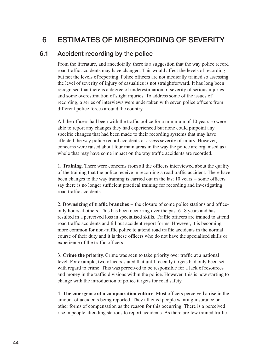# 6 ESTIMATES OF MISRECORDING OF SEVERITY

### 6.1 Accident recording by the police

From the literature, and anecdotally, there is a suggestion that the way police record road traffic accidents may have changed. This would affect the levels of recording but not the levels of reporting. Police officers are not medically trained so assessing the level of severity of injury of casualties is not straightforward. It has long been recognised that there is a degree of underestimation of severity of serious injuries and some overestimation of slight injuries. To address some of the issues of recording, a series of interviews were undertaken with seven police officers from different police forces around the country.

All the officers had been with the traffic police for a minimum of 10 years so were able to report any changes they had experienced but none could pinpoint any specific changes that had been made to their recording systems that may have affected the way police record accidents or assess severity of injury. However, concerns were raised about four main areas in the way the police are organised as a whole that may have some impact on the way traffic accidents are recorded.

1. Training. There were concerns from all the officers interviewed about the quality of the training that the police receive in recording a road traffic accident. There have been changes to the way training is carried out in the last 10 years – some officers say there is no longer sufficient practical training for recording and investigating road traffic accidents.

2. Downsizing of traffic branches – the closure of some police stations and officeonly hours at others. This has been occurring over the past 6–8 years and has resulted in a perceived loss in specialised skills. Traffic officers are trained to attend road traffic accidents and fill out accident report forms. However, it is becoming more common for non-traffic police to attend road traffic accidents in the normal course of their duty and it is these officers who do not have the specialised skills or experience of the traffic officers.

3. Crime the priority. Crime was seen to take priority over traffic at a national level. For example, two officers stated that until recently targets had only been set with regard to crime. This was perceived to be responsible for a lack of resources and money in the traffic divisions within the police. However, this is now starting to change with the introduction of police targets for road safety.

4. The emergence of a compensation culture. Most officers perceived a rise in the amount of accidents being reported. They all cited people wanting insurance or other forms of compensation as the reason for this occurring. There is a perceived rise in people attending stations to report accidents. As there are few trained traffic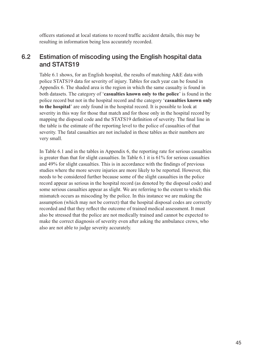officers stationed at local stations to record traffic accident details, this may be resulting in information being less accurately recorded.

## 6.2 Estimation of miscoding using the English hospital data and STATS19

Table 6.1 shows, for an English hospital, the results of matching A&E data with police STATS19 data for severity of injury. Tables for each year can be found in Appendix 6. The shaded area is the region in which the same casualty is found in both datasets. The category of 'casualties known only to the police' is found in the police record but not in the hospital record and the category 'casualties known only to the hospital' are only found in the hospital record. It is possible to look at severity in this way for those that match and for those only in the hospital record by mapping the disposal code and the STATS19 definition of severity. The final line in the table is the estimate of the reporting level to the police of casualties of that severity. The fatal casualties are not included in these tables as their numbers are very small.

In Table 6.1 and in the tables in Appendix 6, the reporting rate for serious casualties is greater than that for slight casualties. In Table 6.1 it is 61% for serious casualties and 49% for slight casualties. This is in accordance with the findings of previous studies where the more severe injuries are more likely to be reported. However, this needs to be considered further because some of the slight casualties in the police record appear as serious in the hospital record (as denoted by the disposal code) and some serious casualties appear as slight. We are referring to the extent to which this mismatch occurs as miscoding by the police. In this instance we are making the assumption (which may not be correct) that the hospital disposal codes are correctly recorded and that they reflect the outcome of trained medical assessment. It must also be stressed that the police are not medically trained and cannot be expected to make the correct diagnosis of severity even after asking the ambulance crews, who also are not able to judge severity accurately.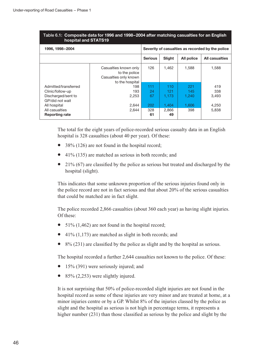| Table 6.1: Composite data for 1996 and 1998–2004 after matching casualties for an English<br>hospital and STATS19 |                                                                                    |                |                                                  |            |                       |  |
|-------------------------------------------------------------------------------------------------------------------|------------------------------------------------------------------------------------|----------------|--------------------------------------------------|------------|-----------------------|--|
| 1996, 1998-2004                                                                                                   |                                                                                    |                | Severity of casualties as recorded by the police |            |                       |  |
|                                                                                                                   |                                                                                    | <b>Serious</b> | Slight                                           | All police | <b>All casualties</b> |  |
|                                                                                                                   | Casualties known only<br>to the police<br>Casualties only known<br>to the hospital | 126            | 1,462                                            | 1,588      | 1,588                 |  |
| Admitted/transferred                                                                                              | 198                                                                                | 111            | 110                                              | 221        | 419                   |  |
| Clinic/follow-up                                                                                                  | 193                                                                                | 24             | 121                                              | 145        | 338                   |  |
| Discharged/sent to<br>GP/did not wait                                                                             | 2,253                                                                              | 67             | 1.173                                            | 1,240      | 3.493                 |  |
| All hospital                                                                                                      | 2,644                                                                              | 202            | 1,404                                            | 1,606      | 4,250                 |  |
| All casualties<br><b>Reporting rate</b>                                                                           | 2,644                                                                              | 328<br>61      | 2,866<br>49                                      | 398        | 5,838                 |  |

# Table 6.1: Composite data for 1996 and 1998–2004 after matching casualties for an English

The total for the eight years of police-recorded serious casualty data in an English hospital is 328 casualties (about 40 per year). Of these:

- 38% (126) are not found in the hospital record;
- 41% (135) are matched as serious in both records; and
- 21% (67) are classified by the police as serious but treated and discharged by the hospital (slight).

This indicates that some unknown proportion of the serious injuries found only in the police record are not in fact serious and that about 20% of the serious casualties that could be matched are in fact slight.

The police recorded 2,866 casualties (about 360 each year) as having slight injuries. Of these:

- $51\%$  (1,462) are not found in the hospital record;
- 41% (1,173) are matched as slight in both records; and
- 8% (231) are classified by the police as slight and by the hospital as serious.

The hospital recorded a further 2,644 casualties not known to the police. Of these:

- 15% (391) were seriously injured; and
- $85\%$  (2,253) were slightly injured.

It is not surprising that 50% of police-recorded slight injuries are not found in the hospital record as some of these injuries are very minor and are treated at home, at a minor injuries centre or by a GP. Whilst 8% of the injuries classed by the police as slight and the hospital as serious is not high in percentage terms, it represents a higher number (231) than those classified as serious by the police and slight by the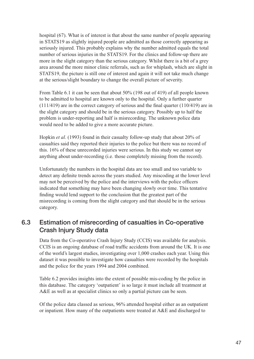hospital (67). What is of interest is that about the same number of people appearing in STATS19 as slightly injured people are admitted as those correctly appearing as seriously injured. This probably explains why the number admitted equals the total number of serious injuries in the STATS19. For the clinics and follow-up there are more in the slight category than the serious category. Whilst there is a bit of a grey area around the more minor clinic referrals, such as for whiplash, which are slight in STATS19, the picture is still one of interest and again it will not take much change at the serious/slight boundary to change the overall picture of severity.

From Table 6.1 it can be seen that about 50% (198 out of 419) of all people known to be admitted to hospital are known only to the hospital. Only a further quarter (111/419) are in the correct category of serious and the final quarter (110/419) are in the slight category and should be in the serious category. Possibly up to half the problem is under-reporting and half is misrecording. The unknown police data would need to be added to give a more accurate picture.

Hopkin et al. (1993) found in their casualty follow-up study that about 20% of casualties said they reported their injuries to the police but there was no record of this. 16% of these unrecorded injuries were serious. In this study we cannot say anything about under-recording (i.e. those completely missing from the record).

Unfortunately the numbers in the hospital data are too small and too variable to detect any definite trends across the years studied. Any miscoding at the lower level may not be perceived by the police and the interviews with the police officers indicated that something may have been changing slowly over time. This tentative finding would lend support to the conclusion that the greatest part of the misrecording is coming from the slight category and that should be in the serious category.

## 6.3 Estimation of misrecording of casualties in Co-operative Crash Injury Study data

Data from the Co-operative Crash Injury Study (CCIS) was available for analysis. CCIS is an ongoing database of road traffic accidents from around the UK. It is one of the world's largest studies, investigating over 1,000 crashes each year. Using this dataset it was possible to investigate how casualties were recorded by the hospitals and the police for the years 1994 and 2004 combined.

Table 6.2 provides insights into the extent of possible mis-coding by the police in this database. The category 'outpatient' is so large it must include all treatment at A&E as well as at specialist clinics so only a partial picture can be seen.

Of the police data classed as serious, 96% attended hospital either as an outpatient or inpatient. How many of the outpatients were treated at A&E and discharged to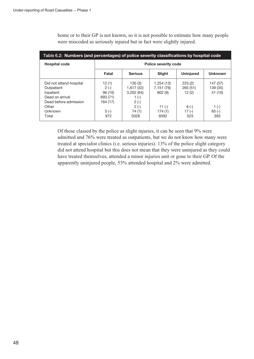| Table 6.2: Numbers (and percentages) of police severity classifications by hospital code                                    |                                                                     |                                                                                   |                                                                  |                                                        |                                                             |  |
|-----------------------------------------------------------------------------------------------------------------------------|---------------------------------------------------------------------|-----------------------------------------------------------------------------------|------------------------------------------------------------------|--------------------------------------------------------|-------------------------------------------------------------|--|
| <b>Hospital code</b>                                                                                                        |                                                                     |                                                                                   | <b>Police severity code</b>                                      |                                                        |                                                             |  |
|                                                                                                                             | Fatal                                                               | <b>Serious</b>                                                                    | Slight                                                           | <b>Uninjured</b>                                       | <b>Unknown</b>                                              |  |
| Did not attend hospital<br>Outpatient<br>Inpatient<br>Dead on arrival<br>Dead before admission<br>Other<br>Unknown<br>Total | 12(1)<br>$2(-)$<br>96 (10)<br>693 (71)<br>164 (17)<br>$5(-)$<br>972 | 130(3)<br>1,617 (32)<br>3,202(64)<br>$1(-)$<br>$2(-)$<br>$2(-)$<br>74 (1)<br>5028 | 1,254 (13)<br>7,151 (76)<br>802(9)<br>11 $(-)$<br>174(1)<br>9392 | 223(2)<br>265(51)<br>12(2)<br>$6(-)$<br>$17(-)$<br>523 | 147 (37)<br>139 (35)<br>41 (10)<br>$1(-)$<br>$65(-)$<br>393 |  |

home or to their GP is not known, so it is not possible to estimate how many people were miscoded as seriously injured but in fact were slightly injured.

Of those classed by the police as slight injuries, it can be seen that 9% were admitted and 76% were treated as outpatients, but we do not know how many were treated at specialist clinics (i.e. serious injuries). 13% of the police slight category did not attend hospital but this does not mean that they were uninjured as they could have treated themselves, attended a minor injuries unit or gone to their GP. Of the apparently uninjured people, 53% attended hospital and 2% were admitted.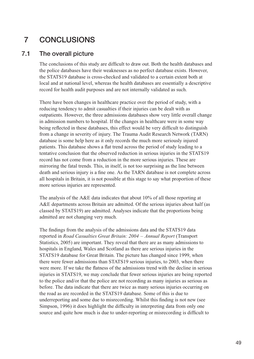# 7 CONCLUSIONS

## 7.1 The overall picture

The conclusions of this study are difficult to draw out. Both the health databases and the police databases have their weaknesses as no perfect database exists. However, the STATS19 database is cross-checked and validated to a certain extent both at local and at national level, whereas the health databases are essentially a descriptive record for health audit purposes and are not internally validated as such.

There have been changes in healthcare practice over the period of study, with a reducing tendency to admit casualties if their injuries can be dealt with as outpatients. However, the three admissions databases show very little overall change in admission numbers to hospital. If the changes in healthcare were in some way being reflected in these databases, this effect would be very difficult to distinguish from a change in severity of injury. The Trauma Audit Research Network (TARN) database is some help here as it only records the much more seriously injured patients. This database shows a flat trend across the period of study leading to a tentative conclusion that the observed reduction in serious injuries in the STATS19 record has not come from a reduction in the more serious injuries. These are mirroring the fatal trends. This, in itself, is not too surprising as the line between death and serious injury is a fine one. As the TARN database is not complete across all hospitals in Britain, it is not possible at this stage to say what proportion of these more serious injuries are represented.

The analysis of the A&E data indicates that about 10% of all those reporting at A&E departments across Britain are admitted. Of the serious injuries about half (as classed by STATS19) are admitted. Analyses indicate that the proportions being admitted are not changing very much.

The findings from the analysis of the admissions data and the STATS19 data reported in Road Casualties Great Britain: 2004 – Annual Report (Transport Statistics, 2005) are important. They reveal that there are as many admissions to hospitals in England, Wales and Scotland as there are serious injuries in the STATS19 database for Great Britain. The picture has changed since 1999, when there were fewer admissions than STATS19 serious injuries, to 2003, when there were more. If we take the flatness of the admissions trend with the decline in serious injuries in STATS19, we may conclude that fewer serious injuries are being reported to the police and/or that the police are not recording as many injuries as serious as before. The data indicate that there are twice as many serious injuries occurring on the road as are recorded in the STATS19 database. Some of this is due to underreporting and some due to misrecording. Whilst this finding is not new (see Simpson, 1996) it does highlight the difficulty in interpreting data from only one source and quite how much is due to under-reporting or misrecording is difficult to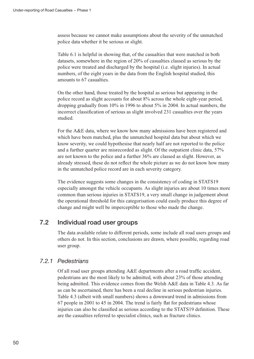assess because we cannot make assumptions about the severity of the unmatched police data whether it be serious or slight.

Table 6.1 is helpful in showing that, of the casualties that were matched in both datasets, somewhere in the region of 20% of casualties classed as serious by the police were treated and discharged by the hospital (i.e. slight injuries). In actual numbers, of the eight years in the data from the English hospital studied, this amounts to 67 casualties.

On the other hand, those treated by the hospital as serious but appearing in the police record as slight accounts for about 8% across the whole eight-year period, dropping gradually from 10% in 1996 to about 5% in 2004. In actual numbers, the incorrect classification of serious as slight involved 231 casualties over the years studied.

For the A&E data, where we know how many admissions have been registered and which have been matched, plus the unmatched hospital data but about which we know severity, we could hypothesise that nearly half are not reported to the police and a further quarter are misrecorded as slight. Of the outpatient clinic data, 57% are not known to the police and a further 36% are classed as slight. However, as already stressed, these do not reflect the whole picture as we do not know how many in the unmatched police record are in each severity category.

The evidence suggests some changes in the consistency of coding in STATS19 especially amongst the vehicle occupants. As slight injuries are about 10 times more common than serious injuries in STATS19, a very small change in judgement about the operational threshold for this categorisation could easily produce this degree of change and might well be imperceptible to those who made the change.

### 7.2 Individual road user groups

The data available relate to different periods, some include all road users groups and others do not. In this section, conclusions are drawn, where possible, regarding road user group.

#### 7.2.1 Pedestrians

Of all road user groups attending A&E departments after a road traffic accident, pedestrians are the most likely to be admitted, with about 23% of those attending being admitted. This evidence comes from the Welsh A&E data in Table 4.3. As far as can be ascertained, there has been a real decline in serious pedestrian injuries. Table 4.3 (albeit with small numbers) shows a downward trend in admissions from 67 people in 2001 to 45 in 2004. The trend is fairly flat for pedestrians whose injuries can also be classified as serious according to the STATS19 definition. These are the casualties referred to specialist clinics, such as fracture clinics.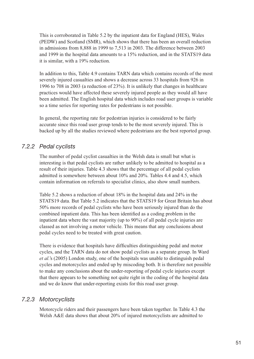This is corroborated in Table 5.2 by the inpatient data for England (HES), Wales (PEDW) and Scotland (SMR), which shows that there has been an overall reduction in admissions from 8,888 in 1999 to 7,513 in 2003. The difference between 2003 and 1999 in the hospital data amounts to a 15% reduction, and in the STATS19 data it is similar, with a 19% reduction.

In addition to this, Table 4.9 contains TARN data which contains records of the most severely injured casualties and shows a decrease across 33 hospitals from 926 in 1996 to 708 in 2003 (a reduction of 23%). It is unlikely that changes in healthcare practices would have affected these severely injured people as they would all have been admitted. The English hospital data which includes road user groups is variable so a time series for reporting rates for pedestrians is not possible.

In general, the reporting rate for pedestrian injuries is considered to be fairly accurate since this road user group tends to be the most severely injured. This is backed up by all the studies reviewed where pedestrians are the best reported group.

## 7.2.2 Pedal cyclists

The number of pedal cyclist casualties in the Welsh data is small but what is interesting is that pedal cyclists are rather unlikely to be admitted to hospital as a result of their injuries. Table 4.3 shows that the percentage of all pedal cyclists admitted is somewhere between about 10% and 20%. Tables 4.4 and 4.5, which contain information on referrals to specialist clinics, also show small numbers.

Table 5.2 shows a reduction of about 18% in the hospital data and 24% in the STATS19 data. But Table 5.2 indicates that the STATS19 for Great Britain has about 50% more records of pedal cyclists who have been seriously injured than do the combined inpatient data. This has been identified as a coding problem in the inpatient data where the vast majority (up to 90%) of all pedal cycle injuries are classed as not involving a motor vehicle. This means that any conclusions about pedal cycles need to be treated with great caution.

There is evidence that hospitals have difficulties distinguishing pedal and motor cycles, and the TARN data do not show pedal cyclists as a separate group. In Ward et al.'s (2005) London study, one of the hospitals was unable to distinguish pedal cycles and motorcycles and ended up by miscoding both. It is therefore not possible to make any conclusions about the under-reporting of pedal cycle injuries except that there appears to be something not quite right in the coding of the hospital data and we do know that under-reporting exists for this road user group.

#### 7.2.3 Motorcyclists

Motorcycle riders and their passengers have been taken together. In Table 4.3 the Welsh A&E data shows that about 20% of injured motorcyclists are admitted to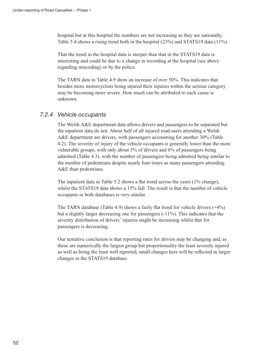hospital but at this hospital the numbers are not increasing as they are nationally. Table 5.4 shows a rising trend both in the hospital (23%) and STATS19 data (11%).

That the trend in the hospital data is steeper than that in the STATS19 data is interesting and could be due to a change in recording at the hospital (see above regarding miscoding) or by the police.

The TARN data in Table 4.9 show an increase of over 50%. This indicates that besides more motorcyclists being injured their injuries within the serious category may be becoming more severe. How much can be attributed to each cause is unknown.

#### 7.2.4 Vehicle occupants

The Welsh A&E department data allows drivers and passengers to be separated but the inpatient data do not. About half of all injured road users attending a Welsh A&E department are drivers, with passengers accounting for another 30% (Table 4.2). The severity of injury of the vehicle occupants is generally lower than the more vulnerable groups, with only about 5% of drivers and 6% of passengers being admitted (Table 4.3), with the number of passengers being admitted being similar to the number of pedestrians despite nearly four times as many passengers attending A&E than pedestrians.

The inpatient data in Table 5.2 shows a flat trend across the years (1% change), whilst the STATS19 data shows a 15% fall. The result is that the number of vehicle occupants in both databases is very similar.

The TARN database (Table 4.9) shows a fairly flat trend for vehicle drivers (+4%) but a slightly larger decreasing one for passengers (-11%). This indicates that the severity distribution of drivers' injuries might be increasing whilst that for passengers is decreasing.

Our tentative conclusion is that reporting rates for drivers may be changing and, as these are numerically the largest group but proportionality the least severely injured as well as being the least well reported, small changes here will be reflected in larger changes in the STATS19 database.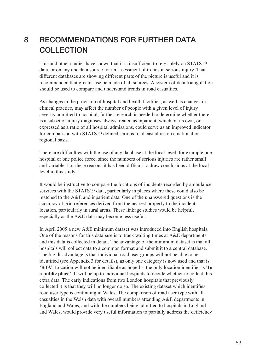# 8 RECOMMENDATIONS FOR FURTHER DATA **COLLECTION**

This and other studies have shown that it is insufficient to rely solely on STATS19 data, or on any one data source for an assessment of trends in serious injury. That different databases are showing different parts of the picture is useful and it is recommended that greater use be made of all sources. A system of data triangulation should be used to compare and understand trends in road casualties.

As changes in the provision of hospital and health facilities, as well as changes in clinical practice, may affect the number of people with a given level of injury severity admitted to hospital, further research is needed to determine whether there is a subset of injury diagnoses always treated as inpatient, which on its own, or expressed as a ratio of all hospital admissions, could serve as an improved indicator for comparison with STATS19 defined serious road casualties on a national or regional basis.

There are difficulties with the use of any database at the local level, for example one hospital or one police force, since the numbers of serious injuries are rather small and variable. For these reasons it has been difficult to draw conclusions at the local level in this study.

It would be instructive to compare the locations of incidents recorded by ambulance services with the STATS19 data, particularly in places where these could also be matched to the A&E and inpatient data. One of the unanswered questions is the accuracy of grid references derived from the nearest property to the incident location, particularly in rural areas. These linkage studies would be helpful, especially as the A&E data may become less useful.

In April 2005 a new A&E minimum dataset was introduced into English hospitals. One of the reasons for this database is to track waiting times at A&E departments and this data is collected in detail. The advantage of the minimum dataset is that all hospitals will collect data to a common format and submit it to a central database. The big disadvantage is that individual road user groups will not be able to be identified (see Appendix 3 for details), as only one category is now used and that is 'RTA'. Location will not be identifiable as hoped – the only location identifier is 'In a public place'. It will be up to individual hospitals to decide whether to collect this extra data. The early indications from two London hospitals that previously collected it is that they will no longer do so. The existing dataset which identifies road user type is continuing in Wales. The comparison of road user type with all casualties in the Welsh data with overall numbers attending A&E departments in England and Wales, and with the numbers being admitted to hospitals in England and Wales, would provide very useful information to partially address the deficiency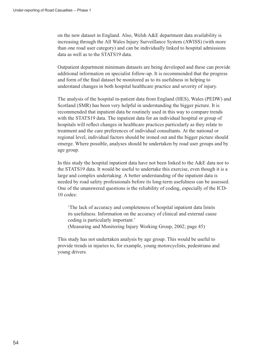on the new dataset in England. Also, Welsh A&E department data availability is increasing through the All Wales Injury Surveillance System (AWISS) (with more than one road user category) and can be individually linked to hospital admissions data as well as to the STATS19 data.

Outpatient department minimum datasets are being developed and these can provide additional information on specialist follow-up. It is recommended that the progress and form of the final dataset be monitored as to its usefulness in helping to understand changes in both hospital healthcare practice and severity of injury.

The analysis of the hospital in-patient data from England (HES), Wales (PEDW) and Scotland (SMR) has been very helpful in understanding the bigger picture. It is recommended that inpatient data be routinely used in this way to compare trends with the STATS19 data. The inpatient data for an individual hospital or group of hospitals will reflect changes in healthcare practices particularly as they relate to treatment and the care preferences of individual consultants. At the national or regional level, individual factors should be ironed out and the bigger picture should emerge. Where possible, analyses should be undertaken by road user groups and by age group.

In this study the hospital inpatient data have not been linked to the A&E data nor to the STATS19 data. It would be useful to undertake this exercise, even though it is a large and complex undertaking. A better understanding of the inpatient data is needed by road safety professionals before its long-term usefulness can be assessed. One of the unanswered questions is the reliability of coding, especially of the ICD-10 codes:

'The lack of accuracy and completeness of hospital inpatient data limits its usefulness. Information on the accuracy of clinical and external cause coding is particularly important.'

(Measuring and Monitoring Injury Working Group, 2002; page 45)

This study has not undertaken analysis by age group. This would be useful to provide trends in injuries to, for example, young motorcyclists, pedestrians and young drivers.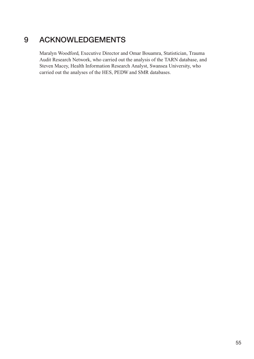# 9 ACKNOWLEDGEMENTS

Maralyn Woodford, Executive Director and Omar Bouamra, Statistician, Trauma Audit Research Network, who carried out the analysis of the TARN database, and Steven Macey, Health Information Research Analyst, Swansea University, who carried out the analyses of the HES, PEDW and SMR databases.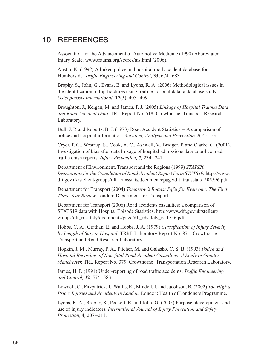## 10 REFERENCES

Association for the Advancement of Automotive Medicine (1990) Abbreviated Injury Scale. www.trauma.org/scores/ais.html (2006).

Austin, K. (1992) A linked police and hospital road accident database for Humberside. Traffic Engineering and Control, 33, 674–683.

Brophy, S., John, G., Evans, E. and Lyons, R. A. (2006) Methodological issues in the identification of hip fractures using routine hospital data: a database study. Osteoporosis International, 17(3), 405–409.

Broughton, J., Keigan, M. and James, F. J. (2005) Linkage of Hospital Trauma Data and Road Accident Data. TRL Report No. 518. Crowthorne: Transport Research Laboratory.

Bull, J. P. and Roberts, B. J. (1973) Road Accident Statistics – A comparison of police and hospital information. Accident, Analysis and Prevention, 5, 45–53.

Cryer, P. C., Westrup, S., Cook, A. C., Ashwell, V., Bridger, P. and Clarke, C. (2001). Investigation of bias after data linkage of hospital admissions data to police road traffic crash reports. Injury Prevention, 7, 234–241.

Department of Environment, Transport and the Regions (1999) STATS20. Instructions for the Completion of Road Accident Report Form STATS19. http://www. dft.gov.uk/stellent/groups/dft\_transstats/documents/page/dft\_transstats\_505596.pdf

Department for Transport (2004) Tomorrow's Roads: Safer for Everyone: The First Three Year Review London: Department for Transport.

Department for Transport (2006) Road accidents casualties: a comparison of STATS19 data with Hospital Episode Statistics, http://www.dft.gov.uk/stellent/ groups/dft\_rdsafety/documents/page/dft\_rdsafety\_611756.pdf

Hobbs, C. A., Grathan, E. and Hobbs, J. A. (1979) Classification of Injury Severity by Length of Stay in Hospital. TRRL Laboratory Report No. 871. Crowthorne: Transport and Road Research Laboratory.

Hopkin, J. M., Murray, P. A., Pitcher, M. and Galasko, C. S. B. (1993) Police and Hospital Recording of Non-fatal Road Accident Casualties: A Study in Greater Manchester. TRL Report No. 379. Crowthorne: Transportation Research Laboratory.

James, H. F. (1991) Under-reporting of road traffic accidents. Traffic Engineering and Control, 32, 574–583.

Lowdell, C., Fitzpatrick, J., Wallis, R., Mindell, J. and Jacobson, B. (2002) Too High a Price: Injuries and Accidents in London. London: Health of Londoners Programme.

Lyons, R. A., Brophy, S., Pockett, R. and John, G. (2005) Purpose, development and use of injury indicators. International Journal of Injury Prevention and Safety Promotion, 4, 207–211.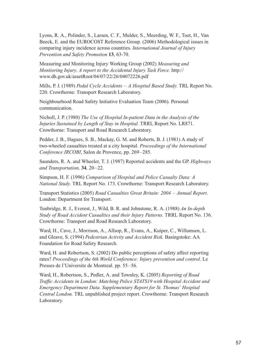Lyons, R. A., Polinder, S., Larsen, C. F., Mulder, S., Meerding, W. F., Toet, H., Van Beeck, E. and the EUROCOST Reference Group. (2006) Methodological issues in comparing injury incidence across countries. International Journal of Injury Prevention and Safety Promotion 13, 63-70.

Measuring and Monitoring Injury Working Group (2002) Measuring and Monitoring Injury. A report to the Accidental Injury Task Force. http:// www.dh.gov.uk/assetRoot/04/07/22/26/04072226.pdf

Mills, P. J. (1989) Pedal Cycle Accidents – A Hospital Based Study. TRL Report No. 220. Crowthorne: Transport Research Laboratory.

Neighbourhood Road Safety Initiative Evaluation Team (2006). Personal communication.

Nicholl, J. P. (1980) The Use of Hospital In-patient Data in the Analysis of the Injuries Sustained by Length of Stay in Hospital. TRRL Report No. LR871. Crowthorne: Transport and Road Research Laboratory.

Pedder, J. B., Hagues, S. B., Mackay, G. M. and Roberts, B. J. (1981) A study of two-wheeled casualties treated at a city hospital. Proceedings of the International Conference IRCOBI, Salon de Provence, pp. 269–285.

Saunders, R. A. and Wheeler, T. J. (1987) Reported accidents and the GP. Highways and Transportation, 34, 20–22.

Simpson, H. F. (1996) Comparison of Hospital and Police Casualty Data: A National Study. TRL Report No. 173. Crowthorne: Transport Research Laboratory.

Transport Statistics (2005) Road Casualties Great Britain: 2004 – Annual Report. London: Department for Transport.

Tunbridge, R. J., Everest, J., Wild, B. R. and Johnstone, R. A. (1988) An In-depth Study of Road Accident Casualties and their Injury Patterns. TRRL Report No. 136. Crowthorne: Transport and Road Research Laboratory.

Ward, H., Cave, J., Morrison, A., Allsop, R., Evans, A., Kuiper, C., Willumsen, L. and Gleave, S. (1994) Pedestrian Activity and Accident Risk. Basingstoke: AA Foundation for Road Safety Research.

Ward, H. and Robertson, S. (2002) Do public perceptions of safety affect reporting rates? Proceedings of the 6th World Conference: Injury prevention and control. Le Presses de l'Universite de Montreal. pp. 55–56.

Ward, H., Robertson, S., Pedler, A. and Townley, K. (2005) Reporting of Road Traffic Accidents in London: Matching Police STATS19 with Hospital Accident and Emergency Department Data. Supplementary Report for St. Thomas' Hospital Central London. TRL unpublished project report. Crowthorne: Transport Research Laboratory.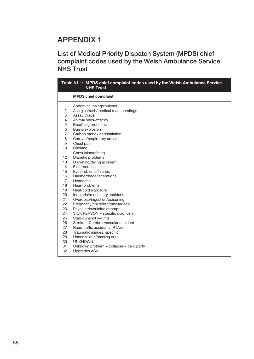List of Medical Priority Dispatch System (MPDS) chief complaint codes used by the Welsh Ambulance Service NHS Trust

|                | Table A1.1: MPDS chief complaint codes used by the Welsh Ambulance Service<br><b>NHS Trust</b> |  |  |  |  |
|----------------|------------------------------------------------------------------------------------------------|--|--|--|--|
|                | <b>MPDS chief complaint</b>                                                                    |  |  |  |  |
| 1              | Abdominal pain/problems                                                                        |  |  |  |  |
| $\overline{c}$ | Allergies/rash/medical reaction/stings                                                         |  |  |  |  |
| 3              | Assault/rape                                                                                   |  |  |  |  |
| $\overline{4}$ | Animal bites/attacks                                                                           |  |  |  |  |
| 5              | <b>Breathing problems</b>                                                                      |  |  |  |  |
| 6              | Burns/explosion                                                                                |  |  |  |  |
| $\overline{7}$ | Carbon monoxide/inhalation                                                                     |  |  |  |  |
| 8              | Cardiac/respiratory arrest                                                                     |  |  |  |  |
| 9              | Chest pain                                                                                     |  |  |  |  |
| 10             | Choking                                                                                        |  |  |  |  |
| 11             | Convulsions/fitting                                                                            |  |  |  |  |
| 12             | Diabetic problems                                                                              |  |  |  |  |
| 13             | Drowning/diving accident                                                                       |  |  |  |  |
| 14             | Electrocution                                                                                  |  |  |  |  |
| 15             | Eye problems/injuries                                                                          |  |  |  |  |
| 16             | Haemorrhage/lacerations                                                                        |  |  |  |  |
| 17             | Headache                                                                                       |  |  |  |  |
| 18             | Heart problems                                                                                 |  |  |  |  |
| 19             | Heat/cold exposure                                                                             |  |  |  |  |
| 20             | Industrial/machinery accidents                                                                 |  |  |  |  |
| 21             | Overdose/ingestion/poisoning                                                                   |  |  |  |  |
| 22             | Pregnancy/childbirth/miscarriage                                                               |  |  |  |  |
| 23             | Psychiatric/suicide attempt                                                                    |  |  |  |  |
| 24             | SICK PERSON - specific diagnosis                                                               |  |  |  |  |
| 25             | Stab/gunshot wound                                                                             |  |  |  |  |
| 26             | Stroke - Cerebro-vascular accident                                                             |  |  |  |  |
| 27             | Road traffic accidents (RTAs)                                                                  |  |  |  |  |
| 28             | Traumatic injuries, specific                                                                   |  |  |  |  |
| 29             | Unconscious/passing out                                                                        |  |  |  |  |
| 30             | <b>UNKNOWN</b>                                                                                 |  |  |  |  |
| 31             | Unknown problem – collapse – third party                                                       |  |  |  |  |
| 32             | Upgrades AS2                                                                                   |  |  |  |  |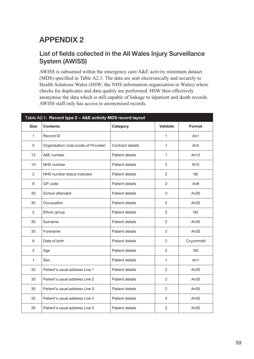## List of fields collected in the All Wales Injury Surveillance System (AWISS)

AWISS is subsumed within the emergency care/A&E activity minimum dataset (MDS) specified in Table A2.1. The data are sent electronically and securely to Health Solutions Wales (HSW; the NHS information organisation in Wales) where checks for duplicates and data quality are performed. HSW then effectively anonymise the data which is still capable of linkage to inpatient and death records. AWISS staff only has access to anonymised records.

| Table A2.1: Record type 2 - A&E activity MDS record layout |                                      |                  |                |                  |  |  |  |
|------------------------------------------------------------|--------------------------------------|------------------|----------------|------------------|--|--|--|
| <b>Size</b>                                                | <b>Contents</b>                      | Category         | Validate       | <b>Format</b>    |  |  |  |
| 1                                                          | Record ID                            |                  | 1              | An1              |  |  |  |
| 5                                                          | Organisation code (code of Provider) | Contract details | 1              | An <sub>5</sub>  |  |  |  |
| 12                                                         | A&E number                           | Patient details  | 1              | An12             |  |  |  |
| 10 <sup>°</sup>                                            | NHS number                           | Patient details  | 2              | N <sub>10</sub>  |  |  |  |
| $\mathbf{2}$                                               | NHS number status indicator          | Patient details  | $\mathbf{2}$   | N <sub>2</sub>   |  |  |  |
| 8                                                          | GP code                              | Patient details  | $\mathbf{2}$   | An <sub>8</sub>  |  |  |  |
| 30                                                         | School attended                      | Patient details  | $\overline{c}$ | An30             |  |  |  |
| 30                                                         | Occupation                           | Patient details  | 2              | An30             |  |  |  |
| 2                                                          | Ethnic group                         | Patient details  | 2              | N <sub>2</sub>   |  |  |  |
| 35                                                         | Surname                              | Patient details  | 2              | An35             |  |  |  |
| 35                                                         | Forename                             | Patient details  | 2              | An $35$          |  |  |  |
| 8                                                          | Date of birth                        | Patient details  | 2              | Ccyymmdd         |  |  |  |
| 3                                                          | Age                                  | Patient details  | $\overline{2}$ | N <sub>3</sub>   |  |  |  |
| 1                                                          | <b>Sex</b>                           | Patient details  | 1              | An1              |  |  |  |
| 35                                                         | Patient's usual address Line 1       | Patient details  | $\overline{2}$ | An $35$          |  |  |  |
| 35                                                         | Patient's usual address Line 2       | Patient details  | $\mathbf{2}$   | An <sub>35</sub> |  |  |  |
| 35                                                         | Patient's usual address Line 3       | Patient details  | $\mathbf{2}$   | An35             |  |  |  |
| 35                                                         | Patient's usual address Line 4       | Patient details  | $\mathbf{2}$   | An <sub>35</sub> |  |  |  |
| 35                                                         | Patient's usual address Line 5       | Patient details  | $\overline{2}$ | An <sub>35</sub> |  |  |  |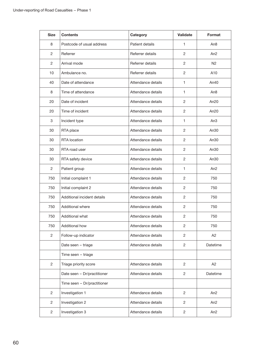| Size           | <b>Contents</b>             | Category           | <b>Validate</b> | Format           |
|----------------|-----------------------------|--------------------|-----------------|------------------|
| 8              | Postcode of usual address   | Patient details    | 1               | An <sub>8</sub>  |
| 2              | Referrer                    | Referrer details   | $\overline{2}$  | An2              |
| 2              | Arrival mode                | Referrer details   | $\overline{2}$  | N <sub>2</sub>   |
| 10             | Ambulance no.               | Referrer details   | $\overline{c}$  | A10              |
| 40             | Date of attendance          | Attendance details | $\mathbf{1}$    | An40             |
| 8              | Time of attendance          | Attendance details | $\mathbf{1}$    | An <sub>8</sub>  |
| 20             | Date of incident            | Attendance details | 2               | An $20$          |
| 20             | Time of incident            | Attendance details | $\overline{c}$  | An20             |
| 3              | Incident type               | Attendance details | 1               | An <sub>3</sub>  |
| 30             | RTA place                   | Attendance details | 2               | An <sub>30</sub> |
| 30             | <b>RTA</b> location         | Attendance details | $\overline{2}$  | An <sub>30</sub> |
| 30             | RTA road user               | Attendance details | $\overline{c}$  | An <sub>30</sub> |
| 30             | RTA safety device           | Attendance details | $\overline{c}$  | An <sub>30</sub> |
| $\overline{c}$ | Patient group               | Attendance details | 1               | An <sub>2</sub>  |
| 750            | Initial complaint 1         | Attendance details | $\overline{c}$  | 750              |
| 750            | Initial complaint 2         | Attendance details | $\overline{c}$  | 750              |
| 750            | Additional incident details | Attendance details | 2               | 750              |
| 750            | Additional where            | Attendance details | $\overline{c}$  | 750              |
| 750            | Additional what             | Attendance details | $\overline{2}$  | 750              |
| 750            | Additional how              | Attendance details | 2               | 750              |
| $\overline{c}$ | Follow-up indicator         | Attendance details | $\overline{c}$  | A2               |
|                | Date seen - triage          | Attendance details | $\overline{c}$  | Datetime         |
|                | Time seen - triage          |                    |                 |                  |
| $\overline{c}$ | Triage priority score       | Attendance details | $\overline{c}$  | A2               |
|                | Date seen - Dr/practitioner | Attendance details | $\overline{c}$  | Datetime         |
|                | Time seen - Dr/practitioner |                    |                 |                  |
| $\overline{c}$ | Investigation 1             | Attendance details | $\overline{c}$  | An <sub>2</sub>  |
| $\overline{c}$ | Investigation 2             | Attendance details | 2               | An <sub>2</sub>  |
| $\overline{c}$ | Investigation 3             | Attendance details | $\overline{2}$  | An <sub>2</sub>  |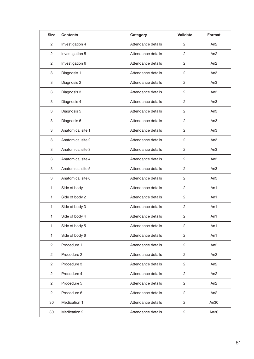| <b>Size</b>    | <b>Contents</b>   | Category           | <b>Validate</b> | Format          |
|----------------|-------------------|--------------------|-----------------|-----------------|
| $\overline{c}$ | Investigation 4   | Attendance details | $\overline{c}$  | An <sub>2</sub> |
| $\overline{c}$ | Investigation 5   | Attendance details | $\overline{c}$  | An2             |
| 2              | Investigation 6   | Attendance details | 2               | An2             |
| 3              | Diagnosis 1       | Attendance details | $\mathbf{2}$    | An3             |
| 3              | Diagnosis 2       | Attendance details | 2               | An3             |
| 3              | Diagnosis 3       | Attendance details | $\overline{2}$  | An3             |
| 3              | Diagnosis 4       | Attendance details | $\mathbf{2}$    | An3             |
| 3              | Diagnosis 5       | Attendance details | $\mathbf{2}$    | An3             |
| 3              | Diagnosis 6       | Attendance details | 2               | An3             |
| 3              | Anatomical site 1 | Attendance details | $\overline{2}$  | An3             |
| 3              | Anatomical site 2 | Attendance details | 2               | An3             |
| 3              | Anatomical site 3 | Attendance details | $\overline{2}$  | An <sub>3</sub> |
| 3              | Anatomical site 4 | Attendance details | 2               | An3             |
| 3              | Anatomical site 5 | Attendance details | $\overline{2}$  | An <sub>3</sub> |
| 3              | Anatomical site 6 | Attendance details | 2               | An <sub>3</sub> |
| 1              | Side of body 1    | Attendance details | $\overline{2}$  | An1             |
| 1              | Side of body 2    | Attendance details | $\overline{c}$  | An1             |
| 1              | Side of body 3    | Attendance details | $\overline{2}$  | An1             |
| 1              | Side of body 4    | Attendance details | $\overline{2}$  | An1             |
| 1              | Side of body 5    | Attendance details | $\overline{c}$  | An1             |
| 1              | Side of body 6    | Attendance details | $\overline{2}$  | An1             |
| $\overline{c}$ | Procedure 1       | Attendance details | $\overline{2}$  | An <sub>2</sub> |
| $\overline{2}$ | Procedure 2       | Attendance details | $\overline{2}$  | An <sub>2</sub> |
| $\overline{2}$ | Procedure 3       | Attendance details | $\overline{2}$  | An <sub>2</sub> |
| $\overline{2}$ | Procedure 4       | Attendance details | $\overline{2}$  | An <sub>2</sub> |
| $\overline{c}$ | Procedure 5       | Attendance details | $\overline{2}$  | An <sub>2</sub> |
| $\overline{2}$ | Procedure 6       | Attendance details | $\overline{2}$  | An <sub>2</sub> |
| 30             | Medication 1      | Attendance details | $\overline{2}$  | An30            |
| 30             | Medication 2      | Attendance details | $\overline{c}$  | An30            |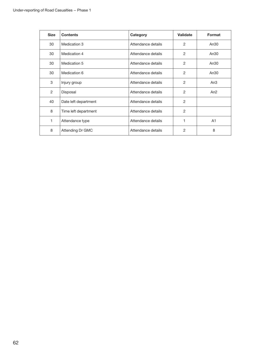| <b>Size</b> | <b>Contents</b>      | Category           | <b>Validate</b> | Format          |
|-------------|----------------------|--------------------|-----------------|-----------------|
| 30          | Medication 3         | Attendance details | 2               | An30            |
| 30          | Medication 4         | Attendance details | $\overline{2}$  | An30            |
| 30          | Medication 5         | Attendance details | 2               | An30            |
| 30          | Medication 6         | Attendance details | $\overline{2}$  | An30            |
| 3           | Injury group         | Attendance details | 2               | An <sub>3</sub> |
| 2           | Disposal             | Attendance details | 2               | An <sub>2</sub> |
| 40          | Date left department | Attendance details | 2               |                 |
| 8           | Time left department | Attendance details | $\overline{2}$  |                 |
| 1           | Attendance type      | Attendance details |                 | A1              |
| 8           | Attending Dr GMC     | Attendance details | 2               | 8               |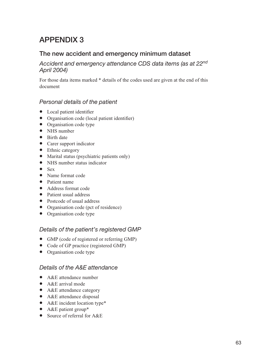## The new accident and emergency minimum dataset

### Accident and emergency attendance CDS data items (as at 22nd April 2004)

For those data items marked \* details of the codes used are given at the end of this document

#### Personal details of the patient

- Local patient identifier
- Organisation code (local patient identifier)
- Organisation code type
- NHS number
- Birth date
- Carer support indicator
- Ethnic category
- Marital status (psychiatric patients only)
- NHS number status indicator
- $\bullet$  Sex
- Name format code
- Patient name
- Address format code
- Patient usual address
- Postcode of usual address
- Organisation code (pct of residence)
- Organisation code type

#### Details of the patient's registered GMP

- GMP (code of registered or referring GMP)
- Code of GP practice (registered GMP)
- Organisation code type

#### Details of the A&E attendance

- A&E attendance number
- A&E arrival mode
- A&E attendance category
- A&E attendance disposal
- A&E incident location type\*
- A&E patient group\*
- Source of referral for A&E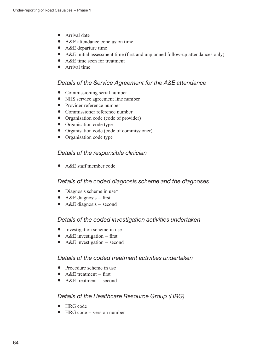- Arrival date
- A&E attendance conclusion time
- A&E departure time
- A&E initial assessment time (first and unplanned follow-up attendances only)
- A&E time seen for treatment
- Arrival time

#### Details of the Service Agreement for the A&E attendance

- Commissioning serial number
- NHS service agreement line number
- Provider reference number
- Commissioner reference number
- Organisation code (code of provider)
- Organisation code type
- Organisation code (code of commissioner)
- Organisation code type

#### Details of the responsible clinician

• A&E staff member code

#### Details of the coded diagnosis scheme and the diagnoses

- Diagnosis scheme in use\*
- A&E diagnosis first
- A&E diagnosis second

#### Details of the coded investigation activities undertaken

- Investigation scheme in use
- A&E investigation first
- A&E investigation second

#### Details of the coded treatment activities undertaken

- Procedure scheme in use
- $A & E$  treatment first
- A & E treatment second

#### Details of the Healthcare Resource Group (HRG)

- HRG code
- HRG code version number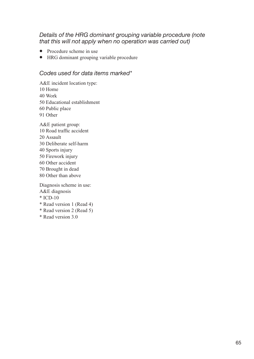#### Details of the HRG dominant grouping variable procedure (note that this will not apply when no operation was carried out)

- Procedure scheme in use
- HRG dominant grouping variable procedure

#### Codes used for data items marked\*

A&E incident location type:

- 10 Home
- 40 Work
- 50 Educational establishment
- 60 Public place
- 91 Other

A&E patient group:

- 10 Road traffic accident
- 20 Assault
- 30 Deliberate self-harm
- 40 Sports injury
- 50 Firework injury
- 60 Other accident
- 70 Brought in dead
- 80 Other than above

Diagnosis scheme in use:

- A&E diagnosis
- \* ICD-10
- \* Read version 1 (Read 4)
- \* Read version 2 (Read 5)
- \* Read version 3.0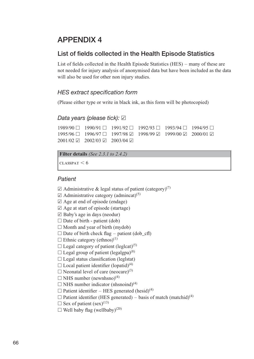## List of fields collected in the Health Episode Statistics

List of fields collected in the Health Episode Statistics (HES) – many of these are not needed for injury analysis of anonymised data but have been included as the data will also be used for other non injury studies.

### HES extract specification form

(Please either type or write in black ink, as this form will be photocopied)

#### Data years (please tick):  $\boxtimes$

 $1989/90$  h  $1990/91$  h  $1991/92$  h  $1992/93$  h  $1993/94$  h  $1994/95$  h  $1995/96$  h  $1996/97$  h  $1997/98$   $\boxtimes$   $1998/99$   $\boxtimes$   $1999/00$   $\boxtimes$  2000/01  $\boxtimes$  $2001/02 \boxtimes 2002/03 \boxtimes 2003/04 \boxtimes$ 

```
Filter details (See 2.3.1 to 2.4.2)
```
 $\text{CLASSPATH}$  < 6

#### **Patient**

- $\boxtimes$  Administrative & legal status of patient (category)<sup>(7)</sup>
- $\boxtimes$  Administrative category (admincat)<sup>(5)</sup>
- $\boxtimes$  Age at end of episode (endage)
- $\boxtimes$  Age at start of episode (startage)
- $\boxtimes$  Baby's age in days (neodur)
- $\Box$  Date of birth patient (dob)
- $\Box$  Month and year of birth (mydob)
- $\Box$  Date of birth check flag patient (dob\_cfl)
- $\Box$  Ethnic category (ethnos)<sup>(1)</sup>
- $\Box$  Legal category of patient (leglcat)<sup>(5)</sup>
- $\Box$  Legal group of patient (legalgpa)<sup>(8)</sup>
- $\Box$  Legal status classification (leglstat)
- $\Box$  Local patient identifier (lopatid)<sup>(4)</sup>
- $\Box$  Neonatal level of care (neocare)<sup>(3)</sup>
- $\Box$  NHS number (newnhsno)<sup>(4)</sup>
- $\Box$  NHS number indicator (nhsnoind)<sup>(4)</sup>
- $\Box$  Patient identifier HES generated (hesid)<sup>(4)</sup>
- $\Box$  Patient identifier (HES generated) basis of match (matchid)<sup>(4)</sup>
- $\Box$  Sex of patient (sex)<sup>(13)</sup>
- $\Box$  Well baby flag (wellbaby)<sup>(20)</sup>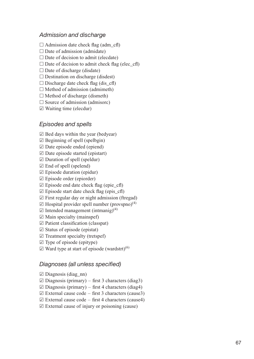#### Admission and discharge

 $\Box$  Admission date check flag (adm cfl)

 $\Box$  Date of admission (admidate)

 $\Box$  Date of decision to admit (elecdate)

 $\Box$  Date of decision to admit check flag (elec cfl)

 $\Box$  Date of discharge (disdate)

 $\Box$  Destination on discharge (disdest)

 $\Box$  Discharge date check flag (dis cfl)

 $\Box$  Method of admission (admimeth)

 $\Box$  Method of discharge (dismeth)

 $\Box$  Source of admission (admisorc)

 $\boxtimes$  Waiting time (elecdur)

#### Episodes and spells

 $\boxtimes$  Bed days within the year (bedyear)

 $\boxtimes$  Beginning of spell (spelbgin)

 $\boxtimes$  Date episode ended (epiend)

 $\boxtimes$  Date episode started (epistart)

 $\boxtimes$  Duration of spell (speldur)

 $\boxtimes$  End of spell (spelend)

 $\boxtimes$  Episode duration (epidur)

 $\boxtimes$  Episode order (epiorder)

 $\boxtimes$  Episode end date check flag (epie cfl)

 $\boxtimes$  Episode start date check flag (epis\_cfl)

 $\boxtimes$  First regular day or night admission (ftregad)

 $\boxtimes$  Hospital provider spell number (provspno)<sup>(4)</sup>

 $\boxtimes$  Intended management (intmanig)<sup>(4)</sup>

 $\boxtimes$  Main specialty (mainspef)

 $\boxtimes$  Patient classification (classpat)

 $\boxtimes$  Status of episode (epistat)

 $\boxtimes$  Treatment specialty (tretspef)

 $\boxtimes$  Type of episode (epitype)

 $\boxtimes$  Ward type at start of episode (wardstrt)<sup>(6)</sup>

#### Diagnoses (all unless specified)

 $\boxtimes$  Diagnosis (diag\_nn)

 $\boxtimes$  Diagnosis (primary) – first 3 characters (diag3)

 $\boxtimes$  Diagnosis (primary) – first 4 characters (diag4)

 $\boxtimes$  External cause code – first 3 characters (cause3)

 $\boxtimes$  External cause code – first 4 characters (cause4)

 $\boxtimes$  External cause of injury or poisoning (cause)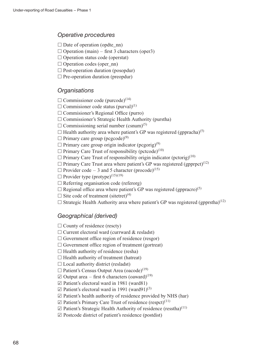#### Operative procedures

- $\Box$  Date of operation (opdte nn)
- $\Box$  Operation (main) first 3 characters (oper3)
- $\Box$  Operation status code (operstat)
- $\Box$  Operation codes (oper nn)
- $\Box$  Post-operation duration (posopdur)
- $\Box$  Pre-operation duration (preopdur)

#### **Organisations**

- $\Box$  Commissioner code (purcode)<sup>(14)</sup>
- $\square$  Commisioner code status (purval)<sup>(1)</sup>
- $\Box$  Commisioner's Regional Office (purro)
- $\Box$  Commissioner's Strategic Health Authority (purstha)
- $\Box$  Commissioning serial number (csnum)<sup>(5)</sup>
- $\Box$  Health authority area where patient's GP was registered (gppracha)<sup>(5)</sup>
- $\Box$  Primary care group (pcgcode)<sup>(9)</sup>
- $\Box$  Primary care group origin indicator (pcgorig)<sup>(9)</sup>
- $\Box$  Primary Care Trust of responsibility (pctcode)<sup>(10)</sup>
- $\Box$  Primary Care Trust of responsibility origin indicator (pctorig)<sup>(10)</sup>
- $\Box$  Primary Care Trust area where patient's GP was registered (gpprpct)<sup>(12)</sup>
- $\Box$  Provider code 3 and 5 character (procode)<sup>(15)</sup>
- $\Box$  Provider type (protype)<sup>(15)(19)</sup>
- $\Box$  Referring organisation code (referorg)
- $\Box$  Regional office area where patient's GP was registered (gppracro)<sup>(5)</sup>
- $\Box$  Site code of treatment (sitetret)<sup>(4)</sup>
- $\Box$  Strategic Health Authority area where patient's GP was registered (gpprstha)<sup>(12)</sup>

#### Geographical (derived)

- $\Box$  County of residence (rescty)
- $\Box$  Current electoral ward (currward & resladst)
- $\Box$  Government office region of residence (resgor)
- $\Box$  Government office region of treatment (gortreat)
- $\Box$  Health authority of residence (resha)
- $\Box$  Health authority of treatment (hatreat)
- $\Box$  Local authority district (resladst)
- $\Box$  Patient's Census Output Area (oacode)<sup>(19)</sup>
- $\boxtimes$  Output area first 6 characters (oaward)<sup>(19)</sup>
- $\boxtimes$  Patient's electoral ward in 1981 (ward81)
- $\boxtimes$  Patient's electoral ward in 1991 (ward91)<sup>(3)</sup>
- $\boxtimes$  Patient's health authority of residence provided by NHS (har)
- $\boxtimes$  Patient's Primary Care Trust of residence (respct)<sup>(11)</sup>
- $\boxtimes$  Patient's Strategic Health Authority of residence (resstha)<sup>(11)</sup>
- $\boxtimes$  Postcode district of patient's residence (postdist)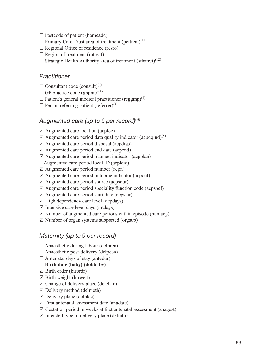- $\Box$  Postcode of patient (homeadd)
- $\Box$  Primary Care Trust area of treatment (pcttreat)<sup>(12)</sup>
- $\Box$  Regional Office of residence (resro)
- $\Box$  Region of treatment (rotreat)
- $\Box$  Strategic Health Authority area of treatment (sthatret)<sup>(12)</sup>

#### **Practitioner**

- $\Box$  Consultant code (consult)<sup>(4)</sup>
- $\Box$  GP practice code (gpprac)<sup>(4)</sup>
- $\Box$  Patient's general medical practitioner (reggmp)<sup>(4)</sup>
- $\Box$  Person referring patient (referrer)<sup>(4)</sup>

#### Augmented care (up to 9 per record) $(4)$

- $\boxtimes$  Augmented care location (acploc)
- $\boxtimes$  Augmented care period data quality indicator (acpdqind)<sup>(8)</sup>
- $\boxtimes$  Augmented care period disposal (acpdisp)
- $\boxtimes$  Augmented care period end date (acpend)
- $\boxtimes$  Augmented care period planned indicator (acpplan)
- $\Box$ Augmented care period local ID (acplcid)
- $\boxtimes$  Augmented care period number (acpn)
- $\boxtimes$  Augmented care period outcome indicator (acpout)
- $\boxtimes$  Augmented care period source (acpsour)
- $\boxtimes$  Augmented care period speciality function code (acpspef)
- $\boxtimes$  Augmented care period start date (acpstar)
- $\boxtimes$  High dependency care level (depdays)
- $\boxtimes$  Intensive care level days (intdays)
- $\boxtimes$  Number of augmented care periods within episode (numacp)
- $\boxtimes$  Number of organ systems supported (orgsup)

#### Maternity (up to 9 per record)

- $\Box$  Anaesthetic during labour (delpren)
- $\Box$  Anaesthetic post-delivery (delposn)
- $\Box$  Antenatal days of stay (antedur)

#### $\Box$  Birth date (baby) (dobbaby)

- $\boxtimes$  Birth order (birordr)
- $\boxtimes$  Birth weight (birweit)
- $\boxtimes$  Change of delivery place (delchan)
- $\boxtimes$  Delivery method (delmeth)
- $\boxtimes$  Delivery place (delplac)
- $\boxtimes$  First antenatal assessment date (anadate)
- $\boxtimes$  Gestation period in weeks at first antenatal assessment (anagest)
- $\boxtimes$  Intended type of delivery place (delintn)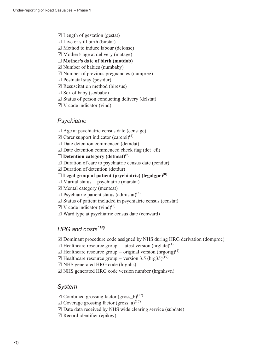- $\boxtimes$  Length of gestation (gestat)
- $\boxtimes$  Live or still birth (birstat)
- $\boxtimes$  Method to induce labour (delonse)
- $\boxtimes$  Mother's age at delivery (matage)
- $\Box$  Mother's date of birth (motdob)
- $\boxtimes$  Number of babies (numbaby)
- $\boxtimes$  Number of previous pregnancies (numpreg)
- $\boxtimes$  Postnatal stay (postdur)
- $\boxtimes$  Resuscitation method (biresus)
- $\boxtimes$  Sex of baby (sexbaby)
- $\boxtimes$  Status of person conducting delivery (delstat)
- $\boxtimes$  V code indicator (vind)

#### **Psychiatric**

- $\boxtimes$  Age at psychiatric census date (censage)
- $\boxtimes$  Carer support indicator (carersi)<sup>(4)</sup>
- $\boxdot$  Date detention commenced (detndat)
- $\boxtimes$  Date detention commenced check flag (det\_cfl)
- $\Box$  Detention category (detncat)<sup>(5)</sup>
- $\boxtimes$  Duration of care to psychiatric census date (cendur)
- $\boxtimes$  Duration of detention (detdur)
- $\Box$  Legal group of patient (psychiatric) (legalgpc)<sup>(8)</sup>
- $\boxtimes$  Marital status psychiatric (marstat)
- $\boxtimes$  Mental category (mentcat)
- $\boxtimes$  Psychiatric patient status (admistat)<sup>(3)</sup>
- $\boxtimes$  Status of patient included in psychiatric census (censtat)
- $\boxtimes$  V code indicator (vind)<sup>(2)</sup>
- $\boxtimes$  Ward type at psychiatric census date (cenward)

#### HRG and  $costs^{(16)}$

- $\boxtimes$  Dominant procedure code assigned by NHS during HRG derivation (domproc)
- $\boxtimes$  Healthcare resource group latest version (hrglate)<sup>(1)</sup>
- $\boxtimes$  Healthcare resource group original version (hrgorig)<sup>(1)</sup>
- $\boxtimes$  Healthcare resource group version 3.5 (hrg35)<sup>(19)</sup>
- $\boxtimes$  NHS generated HRG code (hrgnhs)
- $\boxtimes$  NHS generated HRG code version number (hrgnhsvn)

#### **System**

- $\boxtimes$  Combined grossing factor (gross b)<sup>(17)</sup>
- $\boxtimes$  Coverage grossing factor (gross\_a)<sup>(17)</sup>
- $\boxtimes$  Date data received by NHS wide clearing service (subdate)
- $\boxtimes$  Record identifier (epikey)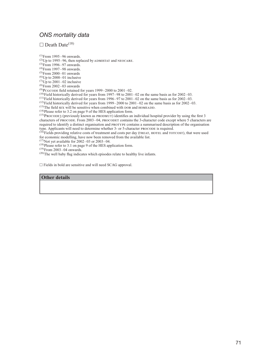#### ONS mortality data

 $\Box$  Death Date<sup>(18)</sup>

 $(1)$ From 1995–96 onwards. (2)Up to 1995–96, then replaced by ADMISTAT and NEOCARE.<br>(3)From 1996–97 onwards.

 $^{(4)}$ From 1997–98 onwards.

 $^{(5)}$ From 2000–01 onwards

 ${}^{(6)}$ Up to 2000–01 inclusive

 $^{(7)}$ Up to 2001–02 inclusive  $(8)$ From 2002–03 onwards

 $^{(9)}$ PCGCODE field retained for years 1999–2000 to 2001–02.

 $(10)$ Field historically derived for years from 1997–98 to 2001–02 on the same basis as for 2002–03.

 $(11)$ Field historically derived for years from 1996–97 to 2001–02 on the same basis as for 2002–03.

 $(12)$ Field historically derived for years from 1999–2000 to 2001–02 on the same basis as for 2002–03.

(13)The field sex will be sensitive when combined with DOB and HOMEADD. (14)Please refer to 3.2 on page 9 of the HES application form.

 $(15)$ PROCODE3 (previously known as PRODMUT) identifies an individual hospital provider by using the first 3 characters of PROCODE. From 2003–04, PROCODET contains the 3-character code except where 5 characters are required to identify a distinct organisation and protype contains a summarised description of the organisation type. Applicants will need to determine whether 3- or 5-character procode is required.

<sup>(16)</sup>Fields providing relative costs of treatment and costs per day (TREAT, HOTEL and TOTCOST), that were used for economic modelling, have now been removed from the available list.

 $(17)$ Not yet available for 2002–03 or 2003–04.

(18)Please refer to 3.1 on page 9 of the HES application form.

 $^{(19)}$ From 2003–04 onwards.

(20)The well baby flag indicates which episodes relate to healthy live infants.

 $\Box$  Fields in bold are sensitive and will need SCAG approval.

#### Other details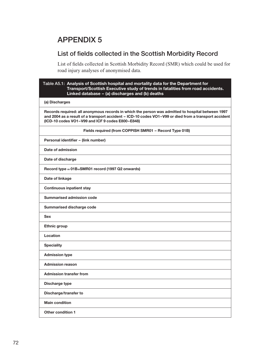## List of fields collected in the Scottish Morbidity Record

List of fields collected in Scottish Morbidity Record (SMR) which could be used for road injury analyses of anonymised data.

## Table A5.1: Analysis of Scottish hospital and mortality data for the Department for Transport/Scottish Executive study of trends in fatalities from road accidents. Linked database – (a) discharges and (b) deaths (a) Discharges Records required: all anonymous records in which the person was admitted to hospital between 1997 and 2004 as a result of a transport accident – ICD-10 codes VO1–V99 or died from a transport accident (ICD-10 codes VO1–V99 and ICF 9 codes E800–E848) Fields required (from COPPISH SMR01 – Record Type 01B) Personal identifier – (link number) Date of admission Date of discharge Record type  $= 01B = SMR01$  record (1997 Q2 onwards) Date of linkage Continuous inpatient stay Summarised admission code Summarised discharge code Sex Ethnic group Location **Speciality** Admission type Admission reason Admission transfer from Discharge type Discharge/transfer to Main condition

Other condition 1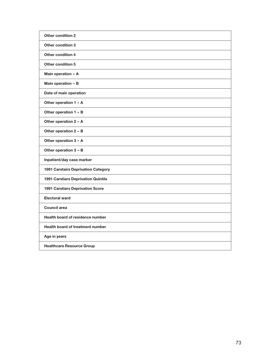| <b>Other condition 2</b>                   |
|--------------------------------------------|
| <b>Other condition 3</b>                   |
| Other condition 4                          |
| <b>Other condition 5</b>                   |
| Main operation - A                         |
| Main operation - B                         |
| Date of main operation                     |
| Other operation 1 - A                      |
| Other operation $1 - B$                    |
| Other operation 2 - A                      |
| Other operation 2 - B                      |
| Other operation 3 - A                      |
| Other operation 3 - B                      |
| Inpatient/day case marker                  |
| 1991 Carstairs Deprivation Category        |
| <b>1991 Carstiars Deprivation Quintile</b> |
| <b>1991 Carstiars Deprivation Score</b>    |
| <b>Electoral ward</b>                      |
| <b>Council area</b>                        |
| Health board of residence number           |
| <b>Health board of treatment number</b>    |
| Age in years                               |
| <b>Healthcare Resource Group</b>           |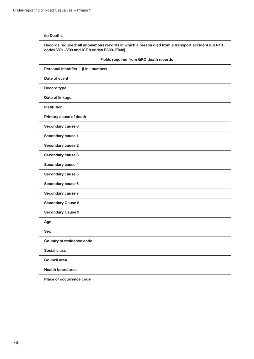#### (b) Deaths

#### Records required: all anonymous records in which a person died from a transport accident (ICD-10 codes VO1–V99 and ICF 9 codes E800–E848)

| Fields required from GRO death records |
|----------------------------------------|
| Personal identifier - (Link number)    |
| Date of event                          |
| <b>Record type</b>                     |
| Date of linkage                        |
| <b>Institution</b>                     |
| Primary cause of death                 |
| Secondary cause 0                      |
| Secondary cause 1                      |
| Secondary cause 2                      |
| Secondary cause 3                      |
| Secondary cause 4                      |
| Secondary cause 5                      |
| Secondary cause 6                      |
| Secondary cause 7                      |
| <b>Secondary Cause 8</b>               |
| <b>Secondary Cause 9</b>               |
| Age                                    |
| <b>Sex</b>                             |
| <b>Country of residence code</b>       |
| <b>Social class</b>                    |
| <b>Council area</b>                    |
| <b>Health board area</b>               |
| Place of occurrence code               |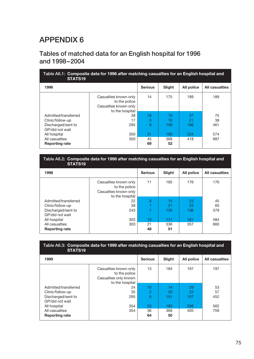# APPENDIX 6

## Tables of matched data for an English hospital for 1996 and 1998–2004

| Table A6.1: Composite data for 1996 after matching casualties for an English hospital and<br>STATS <sub>19</sub> |                                                                                    |                |           |            |                       |  |
|------------------------------------------------------------------------------------------------------------------|------------------------------------------------------------------------------------|----------------|-----------|------------|-----------------------|--|
| 1996                                                                                                             |                                                                                    | <b>Serious</b> | Slight    | All police | <b>All casualties</b> |  |
|                                                                                                                  | Casualties known only<br>to the police<br>Casualties known only<br>to the hospital | 14             | 175       | 189        | 189                   |  |
| Admitted/transferred                                                                                             | 38                                                                                 | 18             | 19        | 37         | 75                    |  |
| Clinic/follow-up                                                                                                 | 17                                                                                 | 5              | 16        | 21         | 38                    |  |
| Discharged/sent to<br>GP/did not wait                                                                            | 295                                                                                | 8              | 158       | 166        | 461                   |  |
| All hospital                                                                                                     | 350                                                                                | 31             | 193       | 224        | 574                   |  |
| All casualties<br><b>Reporting rate</b>                                                                          | 350                                                                                | 45<br>69       | 368<br>52 | 418        | 987                   |  |

#### Table A6.2: Composite data for 1998 after matching casualties for an English hospital and STATS19

| 1998                  |                                                                                    | <b>Serious</b> | Slight | All police | <b>All casualties</b> |
|-----------------------|------------------------------------------------------------------------------------|----------------|--------|------------|-----------------------|
|                       | Casualties known only<br>to the police<br>Casualties known only<br>to the hospital | 11             | 165    | 176        | 176                   |
| Admitted/transferred  | 22                                                                                 | 8              | 15     | 23         | 45                    |
| Clinic/follow-up      | 38                                                                                 |                | 21     | 22         | 60                    |
| Discharged/sent to    | 243                                                                                |                | 135    | 136        | 379                   |
| GP/did not wait       |                                                                                    |                |        |            |                       |
| All hospital          | 303                                                                                | 10             | 171    | 181        | 484                   |
| All casualties        | 303                                                                                | 21             | 336    | 357        | 660                   |
| <b>Reporting rate</b> |                                                                                    | 48             | 51     |            |                       |

| STATS <sub>19</sub>                     |                                                                                    | -              |           | -          |                       |
|-----------------------------------------|------------------------------------------------------------------------------------|----------------|-----------|------------|-----------------------|
| 1999                                    |                                                                                    | <b>Serious</b> | Slight    | All police | <b>All casualties</b> |
|                                         | Casualties known only<br>to the police<br>Casualties only known<br>to the hospital | 13             | 184       | 197        | 197                   |
| Admitted/transferred                    | 24                                                                                 | 15             | 14        | 29         | 53                    |
| Clinic/follow-up                        | 35                                                                                 | $\overline{2}$ | 20        | 22         | 57                    |
| Discharged/sent to<br>GP/did not wait   | 295                                                                                | 6              | 151       | 157        | 452                   |
| All hospital                            | 354                                                                                | 23             | 185       | 208        | 562                   |
| All casualties<br><b>Reporting rate</b> | 354                                                                                | 36<br>64       | 369<br>50 | 405        | 759                   |

Table A6.3: Composite data for 1999 after matching casualties for an English hospital and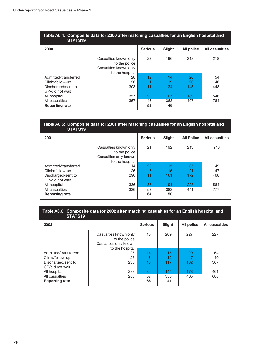#### Table A6.4: Composite data for 2000 after matching casualties for an English hospital and STATS<sub>19</sub>

| 2000                                    |                                                                                    | <b>Serious</b> | Slight    | All police | <b>All casualties</b> |
|-----------------------------------------|------------------------------------------------------------------------------------|----------------|-----------|------------|-----------------------|
|                                         | Casualties known only<br>to the police<br>Casualties known only<br>to the hospital | 22             | 196       | 218        | 218                   |
| Admitted/transferred                    | 28                                                                                 | 12             | 14        | 26         | 54                    |
| Clinic/follow-up                        | 26                                                                                 |                | 19        | 20         | 46                    |
| Discharged/sent to<br>GP/did not wait   | 303                                                                                | 11             | 134       | 145        | 448                   |
| All hospital                            | 357                                                                                | 22             | 167       | 189        | 546                   |
| All casualties<br><b>Reporting rate</b> | 357                                                                                | 46<br>52       | 363<br>46 | 407        | 764                   |

#### Table A6.5: Composite data for 2001 after matching casualties for an English hospital and STATS19

| 2001                  |                                                                                    | <b>Serious</b> | Slight | <b>All Police</b> | <b>All casualties</b> |
|-----------------------|------------------------------------------------------------------------------------|----------------|--------|-------------------|-----------------------|
|                       | Casualties known only<br>to the police<br>Casualties only known<br>to the hospital | 21             | 192    | 213               | 213                   |
| Admitted/transferred  | 14                                                                                 | 20             | 15     | 35                | 49                    |
| Clinic/follow-up      | 26                                                                                 | 6              | 15     | 21                | 47                    |
| Discharged/sent to    | 296                                                                                | 11             | 161    | 172               | 468                   |
| GP/did not wait       |                                                                                    |                |        |                   |                       |
| All hospital          | 336                                                                                | 37             | 191    | 228               | 564                   |
| All casualties        | 336                                                                                | 58             | 383    | 441               | 777                   |
| <b>Reporting rate</b> |                                                                                    | 64             | 50     |                   |                       |

#### Table A6.6: Composite data for 2002 after matching casualties for an English hospital and STATS<sub>19</sub>

| 2002                  |                                                                                    | <b>Serious</b> | Slight | All police | <b>All casualties</b> |
|-----------------------|------------------------------------------------------------------------------------|----------------|--------|------------|-----------------------|
|                       | Casualties known only<br>to the police<br>Casualties only known<br>to the hospital | 18             | 209    | 227        | 227                   |
| Admitted/transferred  | 25                                                                                 | 14             | 15     | 29         | 54                    |
| Clinic/follow-up      | 23                                                                                 | 5              | 12     | 17         | 40                    |
| Discharged/sent to    | 235                                                                                | 15             | 117    | 132        | 367                   |
| GP/did not wait       |                                                                                    |                |        |            |                       |
| All hospital          | 283                                                                                | 34             | 144    | 178        | 461                   |
| All casualties        | 283                                                                                | 52             | 353    | 405        | 688                   |
| <b>Reporting rate</b> |                                                                                    | 65             | 41     |            |                       |